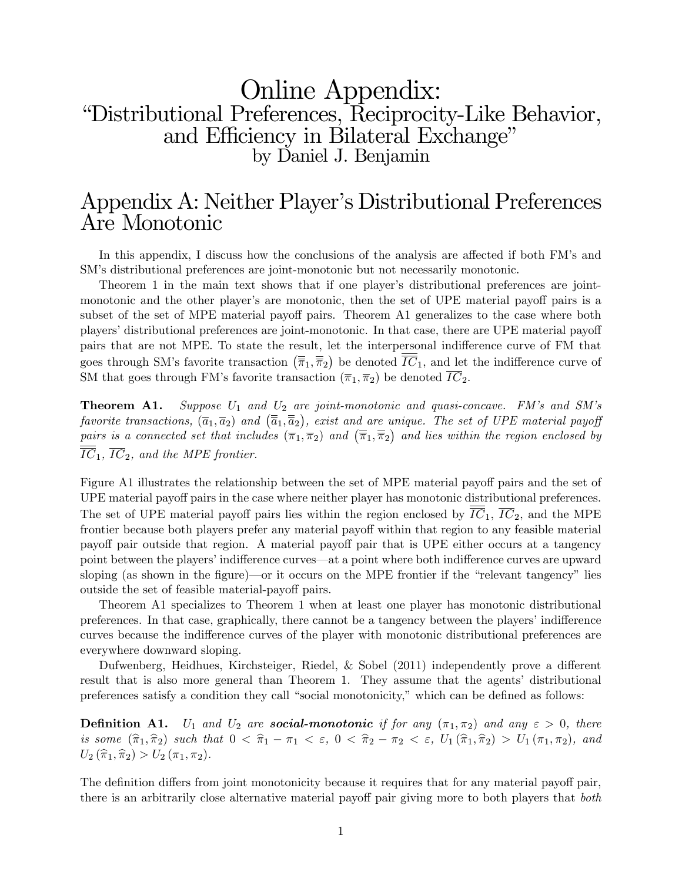# Online Appendix: ìDistributional Preferences, Reciprocity-Like Behavior, and Efficiency in Bilateral Exchange" by Daniel J. Benjamin

# Appendix A: Neither Player's Distributional Preferences Are Monotonic

In this appendix, I discuss how the conclusions of the analysis are affected if both FM's and SM's distributional preferences are joint-monotonic but not necessarily monotonic.

Theorem 1 in the main text shows that if one player's distributional preferences are jointmonotonic and the other player's are monotonic, then the set of UPE material payoff pairs is a subset of the set of MPE material payoff pairs. Theorem A1 generalizes to the case where both players' distributional preferences are joint-monotonic. In that case, there are UPE material payoff pairs that are not MPE. To state the result, let the interpersonal indifference curve of FM that goes through SM's favorite transaction  $(\overline{\overline{\pi}}_1, \overline{\overline{\pi}}_2)$  be denoted  $\overline{\overline{IC}}_1$ , and let the indifference curve of SM that goes through FM's favorite transaction  $(\overline{\pi}_1, \overline{\pi}_2)$  be denoted  $\overline{IC}_2$ .

**Theorem A1.** Suppose  $U_1$  and  $U_2$  are joint-monotonic and quasi-concave. FM's and SM's favorite transactions,  $(\overline{a}_1, \overline{a}_2)$  and  $(\overline{\overline{a}}_1, \overline{\overline{a}}_2)$ , exist and are unique. The set of UPE material payof pairs is a connected set that includes  $(\overline{\pi}_1, \overline{\pi}_2)$  and  $(\overline{\overline{\pi}}_1, \overline{\overline{\pi}}_2)$  and lies within the region enclosed by  $\overline{IC}_1$ ,  $\overline{IC}_2$ , and the MPE frontier.

Figure A1 illustrates the relationship between the set of MPE material payoff pairs and the set of UPE material payoff pairs in the case where neither player has monotonic distributional preferences. The set of UPE material payoff pairs lies within the region enclosed by  $\overline{IC}_1$ ,  $\overline{IC}_2$ , and the MPE frontier because both players prefer any material payoff within that region to any feasible material payoff pair outside that region. A material payoff pair that is UPE either occurs at a tangency point between the players' indifference curves—at a point where both indifference curves are upward sloping (as shown in the figure)—or it occurs on the MPE frontier if the "relevant tangency" lies outside the set of feasible material-payoff pairs.

Theorem A1 specializes to Theorem 1 when at least one player has monotonic distributional preferences. In that case, graphically, there cannot be a tangency between the players' indifference curves because the indifference curves of the player with monotonic distributional preferences are everywhere downward sloping.

Dufwenberg, Heidhues, Kirchsteiger, Riedel, & Sobel  $(2011)$  independently prove a different result that is also more general than Theorem 1. They assume that the agents' distributional preferences satisfy a condition they call "social monotonicity," which can be defined as follows:

**Definition A1.** U<sub>1</sub> and U<sub>2</sub> are **social-monotonic** if for any  $(\pi_1, \pi_2)$  and any  $\varepsilon > 0$ , there is some  $(\hat{\pi}_1, \hat{\pi}_2)$  such that  $0 < \hat{\pi}_1 - \pi_1 < \varepsilon$ ,  $0 < \hat{\pi}_2 - \pi_2 < \varepsilon$ ,  $U_1(\hat{\pi}_1, \hat{\pi}_2) > U_1(\pi_1, \pi_2)$ , and  $U_2(\hat{\pi}_1, \hat{\pi}_2) > U_2(\pi_1, \pi_2).$ 

The definition differs from joint monotonicity because it requires that for any material payoff pair, there is an arbitrarily close alternative material payoff pair giving more to both players that *both*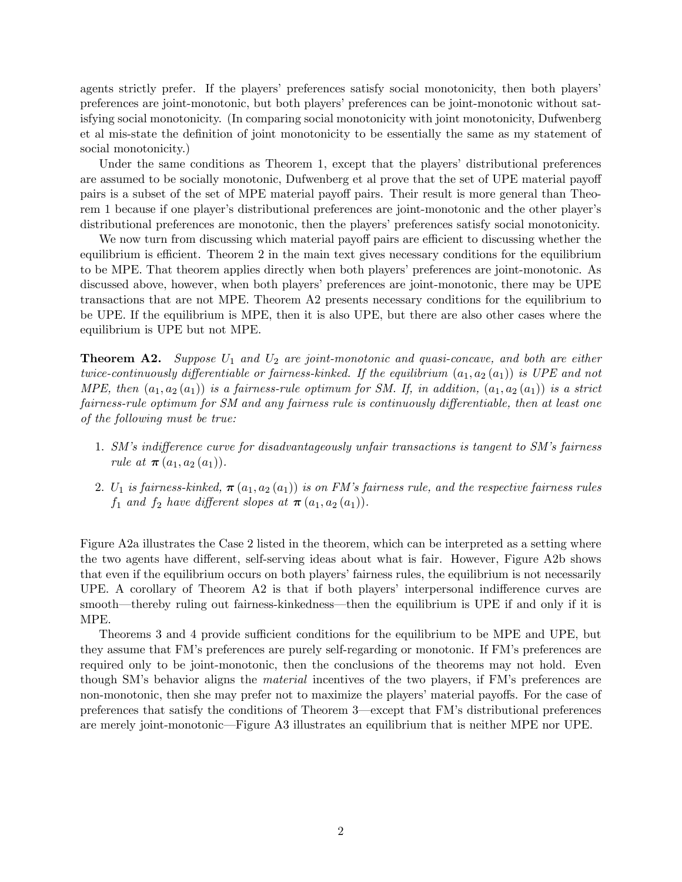agents strictly prefer. If the players' preferences satisfy social monotonicity, then both players' preferences are joint-monotonic, but both players' preferences can be joint-monotonic without satisfying social monotonicity. (In comparing social monotonicity with joint monotonicity, Dufwenberg et al mis-state the definition of joint monotonicity to be essentially the same as my statement of social monotonicity.)

Under the same conditions as Theorem 1, except that the players' distributional preferences are assumed to be socially monotonic, Dufwenberg et al prove that the set of UPE material payoff pairs is a subset of the set of MPE material payoff pairs. Their result is more general than Theorem 1 because if one player's distributional preferences are joint-monotonic and the other player's distributional preferences are monotonic, then the players' preferences satisfy social monotonicity.

We now turn from discussing which material payoff pairs are efficient to discussing whether the equilibrium is efficient. Theorem 2 in the main text gives necessary conditions for the equilibrium to be MPE. That theorem applies directly when both players' preferences are joint-monotonic. As discussed above, however, when both players' preferences are joint-monotonic, there may be UPE transactions that are not MPE. Theorem A2 presents necessary conditions for the equilibrium to be UPE. If the equilibrium is MPE, then it is also UPE, but there are also other cases where the equilibrium is UPE but not MPE.

**Theorem A2.** Suppose  $U_1$  and  $U_2$  are joint-monotonic and quasi-concave, and both are either twice-continuously differentiable or fairness-kinked. If the equilibrium  $(a_1, a_2(a_1))$  is UPE and not MPE, then  $(a_1, a_2(a_1))$  is a fairness-rule optimum for SM. If, in addition,  $(a_1, a_2(a_1))$  is a strict fairness-rule optimum for SM and any fairness rule is continuously differentiable, then at least one of the following must be true:

- 1. SM's indifference curve for disadvantageously unfair transactions is tangent to SM's fairness rule at  $\pi (a_1, a_2 (a_1))$ .
- 2. U<sub>1</sub> is fairness-kinked,  $\pi(a_1, a_2(a_1))$  is on FM's fairness rule, and the respective fairness rules  $f_1$  and  $f_2$  have different slopes at  $\pi(a_1, a_2(a_1))$ .

Figure A2a illustrates the Case 2 listed in the theorem, which can be interpreted as a setting where the two agents have different, self-serving ideas about what is fair. However, Figure A2b shows that even if the equilibrium occurs on both players' fairness rules, the equilibrium is not necessarily UPE. A corollary of Theorem  $A2$  is that if both players' interpersonal indifference curves are smooth—thereby ruling out fairness-kinkedness—then the equilibrium is UPE if and only if it is MPE.

Theorems 3 and 4 provide sufficient conditions for the equilibrium to be MPE and UPE, but they assume that FMís preferences are purely self-regarding or monotonic. If FMís preferences are required only to be joint-monotonic, then the conclusions of the theorems may not hold. Even though SM's behavior aligns the *material* incentives of the two players, if FM's preferences are non-monotonic, then she may prefer not to maximize the players' material payoffs. For the case of preferences that satisfy the conditions of Theorem 3—except that FM's distributional preferences are merely joint-monotonic—Figure A3 illustrates an equilibrium that is neither MPE nor UPE.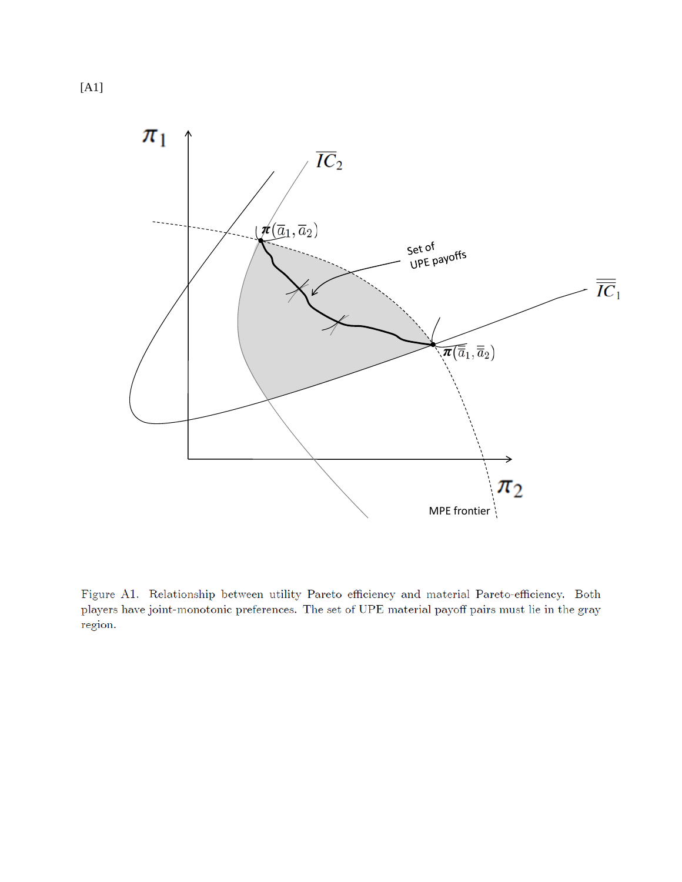

Figure A1. Relationship between utility Pareto efficiency and material Pareto-efficiency. Both players have joint-monotonic preferences. The set of UPE material payoff pairs must lie in the gray region.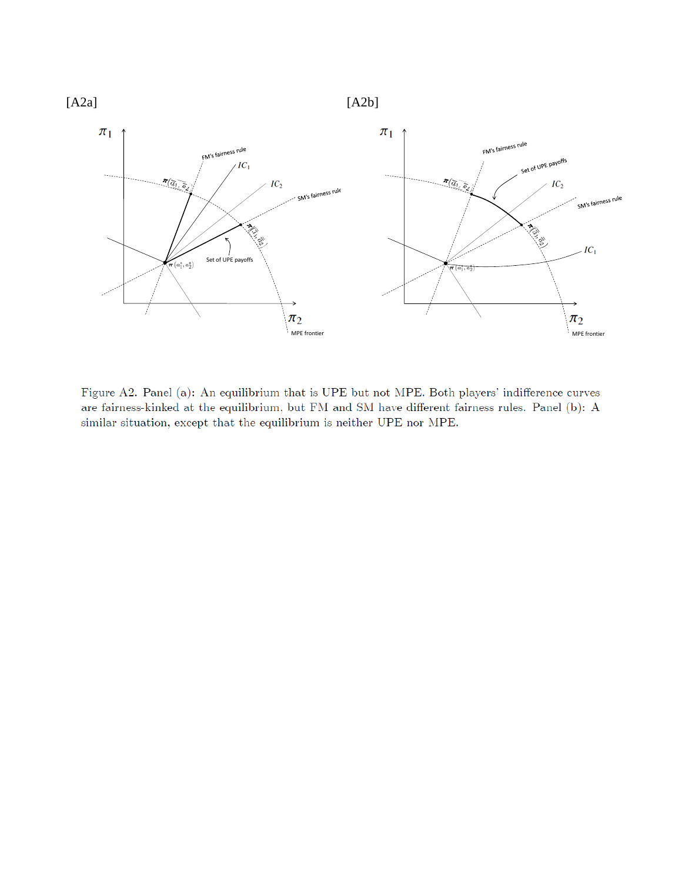

Figure A2. Panel (a): An equilibrium that is UPE but not MPE. Both players' indifference curves are fairness-kinked at the equilibrium, but FM and SM have different fairness rules. Panel (b): A similar situation, except that the equilibrium is neither UPE nor MPE.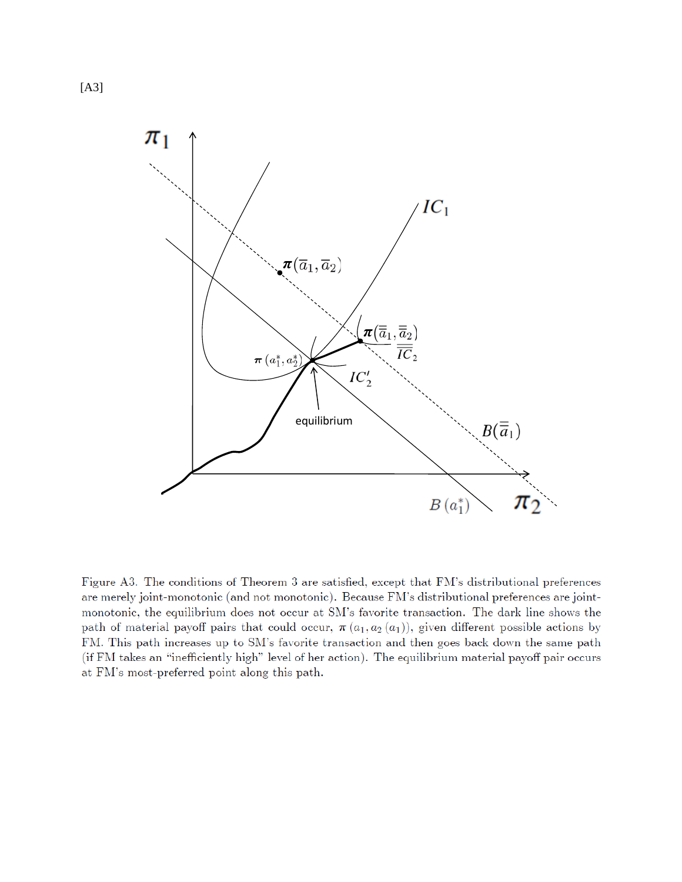

Figure A3. The conditions of Theorem 3 are satisfied, except that FM's distributional preferences are merely joint-monotonic (and not monotonic). Because FM's distributional preferences are jointmonotonic, the equilibrium does not occur at SM's favorite transaction. The dark line shows the path of material payoff pairs that could occur,  $\pi(a_1, a_2(a_1))$ , given different possible actions by FM. This path increases up to SM's favorite transaction and then goes back down the same path (if FM takes an "inefficiently high" level of her action). The equilibrium material payoff pair occurs at FM's most-preferred point along this path.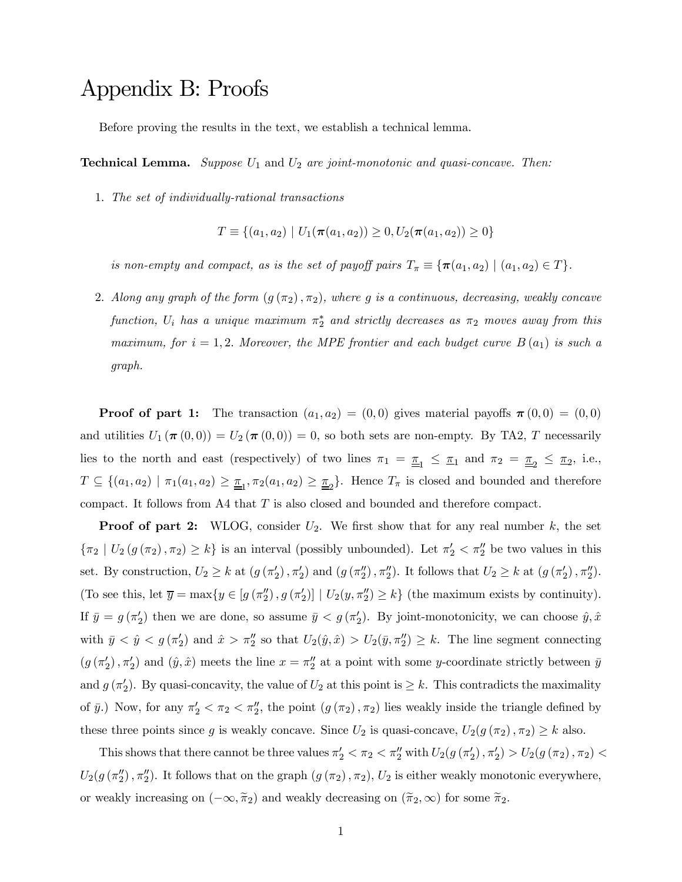# Appendix B: Proofs

Before proving the results in the text, we establish a technical lemma.

**Technical Lemma.** Suppose  $U_1$  and  $U_2$  are joint-monotonic and quasi-concave. Then:

1. The set of individually-rational transactions

$$
T \equiv \{(a_1, a_2) \mid U_1(\pi(a_1, a_2)) \ge 0, U_2(\pi(a_1, a_2)) \ge 0\}
$$

is non-empty and compact, as is the set of payoff pairs  $T_{\pi} \equiv {\pi(a_1, a_2) | (a_1, a_2) \in T}.$ 

2. Along any graph of the form  $(g(\pi_2), \pi_2)$ , where g is a continuous, decreasing, weakly concave function,  $U_i$  has a unique maximum  $\pi^*_{2}$  and strictly decreases as  $\pi_2$  moves away from this maximum, for  $i = 1, 2$ . Moreover, the MPE frontier and each budget curve  $B(a_1)$  is such a graph.

**Proof of part 1:** The transaction  $(a_1, a_2) = (0, 0)$  gives material payoffs  $\pi(0, 0) = (0, 0)$ and utilities  $U_1 (\pi (0, 0)) = U_2 (\pi (0, 0)) = 0$ , so both sets are non-empty. By TA2, T necessarily lies to the north and east (respectively) of two lines  $\pi_1 = \underline{\pi}_1 \le \pi_1$  and  $\pi_2 = \underline{\pi}_2 \le \pi_2$ , i.e.,  $T \subseteq \{(a_1, a_2) \mid \pi_1(a_1, a_2) \geq \underline{\pi}_1, \pi_2(a_1, a_2) \geq \underline{\pi}_2\}$ . Hence  $T_{\pi}$  is closed and bounded and therefore compact. It follows from A4 that  $T$  is also closed and bounded and therefore compact.

**Proof of part 2:** WLOG, consider  $U_2$ . We first show that for any real number  $k$ , the set  $\{\pi_2 \mid U_2(g(\pi_2), \pi_2) \geq k\}$  is an interval (possibly unbounded). Let  $\pi'_2 < \pi''_2$  be two values in this set. By construction,  $U_2 \ge k$  at  $(g(\pi'_2), \pi'_2)$  and  $(g(\pi''_2), \pi''_2)$ . It follows that  $U_2 \ge k$  at  $(g(\pi'_2), \pi''_2)$ . (To see this, let  $\overline{y} = \max\{y \in [g(\pi_2''), g(\pi_2')] \mid U_2(y, \pi_2'') \ge k\}$  (the maximum exists by continuity). If  $\bar{y} = g(\pi_2')$  then we are done, so assume  $\bar{y} < g(\pi_2')$ . By joint-monotonicity, we can choose  $\hat{y}, \hat{x}$ with  $\bar{y} < \hat{y} < g(\pi_2')$  and  $\hat{x} > \pi_2''$  so that  $U_2(\hat{y}, \hat{x}) > U_2(\bar{y}, \pi_2'') \geq k$ . The line segment connecting  $(g(\pi'_2), \pi'_2)$  and  $(\hat{y}, \hat{x})$  meets the line  $x = \pi''_2$  at a point with some y-coordinate strictly between  $\bar{y}$ and  $g(\pi'_2)$ . By quasi-concavity, the value of  $U_2$  at this point is  $\geq k$ . This contradicts the maximality of  $\bar{y}$ .) Now, for any  $\pi'_2 < \pi_2 < \pi''_2$ , the point  $(g(\pi_2), \pi_2)$  lies weakly inside the triangle defined by these three points since g is weakly concave. Since  $U_2$  is quasi-concave,  $U_2(g(\pi_2), \pi_2) \geq k$  also.

This shows that there cannot be three values  $\pi'_2 < \pi_2 < \pi''_2$  with  $U_2(g(\pi'_2), \pi'_2) > U_2(g(\pi_2), \pi_2) <$  $U_2(g(\pi_2''), \pi_2'')$ . It follows that on the graph  $(g(\pi_2), \pi_2), U_2$  is either weakly monotonic everywhere, or weakly increasing on  $(-\infty, \tilde{\pi}_2)$  and weakly decreasing on  $(\tilde{\pi}_2, \infty)$  for some  $\tilde{\pi}_2$ .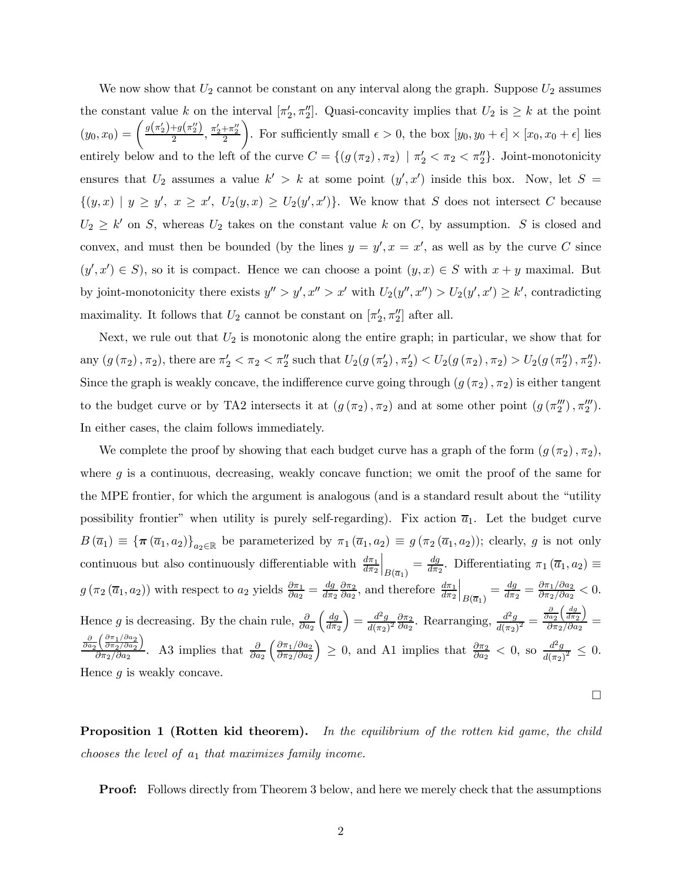We now show that  $U_2$  cannot be constant on any interval along the graph. Suppose  $U_2$  assumes the constant value k on the interval  $[\pi'_2, \pi''_2]$ . Quasi-concavity implies that  $U_2$  is  $\geq k$  at the point  $(y_0, x_0) = \left(\frac{g(\pi_2') + g(\pi_2'')}{2}, \frac{\pi_2' + \pi_2''}{2}\right)$  $\setminus$ . For sufficiently small  $\epsilon > 0$ , the box  $[y_0, y_0 + \epsilon] \times [x_0, x_0 + \epsilon]$  lies entirely below and to the left of the curve  $C = \{(g(\pi_2), \pi_2) \mid \pi'_2 < \pi_2 < \pi''_2\}$ . Joint-monotonicity ensures that  $U_2$  assumes a value  $k' > k$  at some point  $(y', x')$  inside this box. Now, let  $S =$  $\{(y,x) | y \geq y', x \geq x', U_2(y,x) \geq U_2(y',x')\}.$  We know that S does not intersect C because  $U_2 \geq k'$  on S, whereas  $U_2$  takes on the constant value k on C, by assumption. S is closed and convex, and must then be bounded (by the lines  $y = y', x = x'$ , as well as by the curve C since  $(y', x') \in S$ , so it is compact. Hence we can choose a point  $(y, x) \in S$  with  $x + y$  maximal. But by joint-monotonicity there exists  $y'' > y', x'' > x'$  with  $U_2(y'', x'') > U_2(y', x') \geq k'$ , contradicting maximality. It follows that  $U_2$  cannot be constant on  $[\pi'_2, \pi''_2]$  after all.

Next, we rule out that  $U_2$  is monotonic along the entire graph; in particular, we show that for any  $(g(\pi_2), \pi_2)$ , there are  $\pi'_2 < \pi_2 < \pi''_2$  such that  $U_2(g(\pi'_2), \pi'_2) < U_2(g(\pi_2), \pi_2) > U_2(g(\pi''_2), \pi''_2)$ . Since the graph is weakly concave, the indifference curve going through  $(g(\pi_2), \pi_2)$  is either tangent to the budget curve or by TA2 intersects it at  $(g(\pi_2), \pi_2)$  and at some other point  $(g(\pi_2''), \pi_2'')$ . In either cases, the claim follows immediately.

We complete the proof by showing that each budget curve has a graph of the form  $(g(\pi_2), \pi_2)$ , where  $g$  is a continuous, decreasing, weakly concave function; we omit the proof of the same for the MPE frontier, for which the argument is analogous (and is a standard result about the "utility possibility frontier" when utility is purely self-regarding). Fix action  $\overline{a}_1$ . Let the budget curve  $B(\bar{a}_1) \equiv {\{\pi (\bar{a}_1, a_2)\}}_{a_2 \in \mathbb{R}}$  be parameterized by  $\pi_1 (\bar{a}_1, a_2) \equiv g(\pi_2 (\bar{a}_1, a_2))$ ; clearly, g is not only continuous but also continuously differentiable with  $\frac{d\pi_1}{d\pi_2}$  $\Big|_{B(\overline{a}_1)} = \frac{dg}{d\pi_2}$ . Differentiating  $\pi_1(\overline{a}_1, a_2) \equiv$  $g(\pi_2(\overline{a}_1, a_2))$  with respect to  $a_2$  yields  $\frac{\partial \pi_1}{\partial a_2} = \frac{dg}{d\pi_2}$  $\frac{\partial \pi_2}{\partial a_2}$ , and therefore  $\frac{d\pi_1}{d\pi_2}$  $\Big|_{B(\overline{a}_1)} = \frac{dg}{d\pi_2} = \frac{\partial \pi_1/\partial a_2}{\partial \pi_2/\partial a_2} < 0.$ Hence g is decreasing. By the chain rule,  $\frac{\partial}{\partial a_2}$  $\int dg$  $d\pi_2$  $\left(\frac{d^2g}{d(\pi_2)^2} \frac{\partial \pi_2}{\partial a_2} \right)$ . Rearranging,  $\frac{d^2g}{d(\pi_2)^2}$  =  $\frac{\partial}{\partial a_2}$  $\int dg$  $d\pi_2$  $\overline{ }$  $\frac{\partial a_2 \setminus d \pi_2 \, \mathcal{I}}{\partial \pi_2 / \partial a_2} =$  $\frac{\partial}{\partial a_2} \left( \frac{\partial \pi_1 / \partial a_2}{\partial \pi_2 / \partial a_2} \right.$  $\overline{\phantom{0}}$  $\frac{\partial}{\partial \pi_2/\partial a_2}$ . A3 implies that  $\frac{\partial}{\partial a_2}$  $\int \frac{\partial \pi_1}{\partial a_2}$  $\partial \pi_2/\partial a_2$  $\left( \begin{array}{l} \n\geq 0, \text{ and } \n\text{A1 implies that } \frac{\partial \pi_2}{\partial a_2} < 0, \text{ so } \frac{d^2 g}{d(\pi_2)^2} \leq 0. \n\end{array} \right)$ Hence  $q$  is weakly concave.

**Proposition 1 (Rotten kid theorem).** In the equilibrium of the rotten kid game, the child chooses the level of  $a_1$  that maximizes family income.

 $\Box$ 

Proof: Follows directly from Theorem 3 below, and here we merely check that the assumptions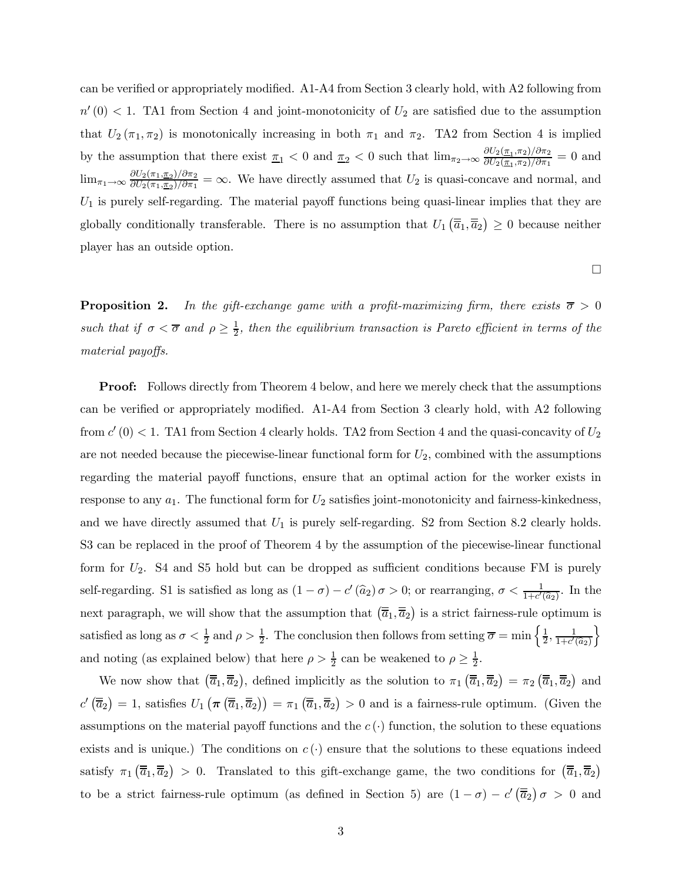can be verified or appropriately modified. A1-A4 from Section 3 clearly hold, with A2 following from  $n'(0)$  < 1. TA1 from Section 4 and joint-monotonicity of  $U_2$  are satisfied due to the assumption that  $U_2(\pi_1, \pi_2)$  is monotonically increasing in both  $\pi_1$  and  $\pi_2$ . TA2 from Section 4 is implied by the assumption that there exist  $\pi_1 < 0$  and  $\pi_2 < 0$  such that  $\lim_{\pi_2 \to \infty} \frac{\partial U_2(\pi_1, \pi_2)/\partial \pi_2}{\partial U_2(\pi_1, \pi_2)/\partial \pi_1} = 0$  and  $\lim_{\pi_1 \to \infty} \frac{\partial U_2(\pi_1, \pi_2)/\partial \pi_2}{\partial U_2(\pi_1, \pi_2)/\partial \pi_1} = \infty$ . We have directly assumed that  $U_2$  is quasi-concave and normal, and  $U_1$  is purely self-regarding. The material payoff functions being quasi-linear implies that they are globally conditionally transferable. There is no assumption that  $U_1(\overline{\overline{a}}_1, \overline{\overline{a}}_2) \ge 0$  because neither player has an outside option.

 $\Box$ 

**Proposition 2.** In the gift-exchange game with a profit-maximizing firm, there exists  $\bar{\sigma} > 0$ such that if  $\sigma < \overline{\sigma}$  and  $\rho \geq \frac{1}{2}$ , then the equilibrium transaction is Pareto efficient in terms of the material payoffs.

**Proof:** Follows directly from Theorem 4 below, and here we merely check that the assumptions can be verified or appropriately modified. A1-A4 from Section 3 clearly hold, with A2 following from  $c'(0) < 1$ . TA1 from Section 4 clearly holds. TA2 from Section 4 and the quasi-concavity of  $U_2$ are not needed because the piecewise-linear functional form for  $U_2$ , combined with the assumptions regarding the material payoff functions, ensure that an optimal action for the worker exists in response to any  $a_1$ . The functional form for  $U_2$  satisfies joint-monotonicity and fairness-kinkedness, and we have directly assumed that  $U_1$  is purely self-regarding. S2 from Section 8.2 clearly holds. S3 can be replaced in the proof of Theorem 4 by the assumption of the piecewise-linear functional form for  $U_2$ . S4 and S5 hold but can be dropped as sufficient conditions because FM is purely self-regarding. S1 is satisfied as long as  $(1 - \sigma) - c'(\hat{a}_2) \sigma > 0$ ; or rearranging,  $\sigma < \frac{1}{1+c'(\hat{a}_2)}$ . In the next paragraph, we will show that the assumption that  $(\overline{\overline{a}}_1, \overline{\overline{a}}_2)$  is a strict fairness-rule optimum is satisfied as long as  $\sigma < \frac{1}{2}$  and  $\rho > \frac{1}{2}$ . The conclusion then follows from setting  $\overline{\sigma} = \min\left\{\frac{1}{2}, \frac{1}{1+c'(\widehat{a}_2)}\right\}$  $\mathcal{L}$ and noting (as explained below) that here  $\rho > \frac{1}{2}$  can be weakened to  $\rho \geq \frac{1}{2}$ .

We now show that  $(\overline{\overline{a}}_1, \overline{\overline{a}}_2)$ , defined implicitly as the solution to  $\pi_1(\overline{\overline{a}}_1, \overline{\overline{a}}_2) = \pi_2(\overline{\overline{a}}_1, \overline{\overline{a}}_2)$  and  $c'(\overline{\overline{a}}_2) = 1$ , satisfies  $U_1(\pi(\overline{\overline{a}}_1, \overline{\overline{a}}_2)) = \pi_1(\overline{\overline{a}}_1, \overline{\overline{a}}_2) > 0$  and is a fairness-rule optimum. (Given the assumptions on the material payoff functions and the  $c(\cdot)$  function, the solution to these equations exists and is unique.) The conditions on  $c(\cdot)$  ensure that the solutions to these equations indeed satisfy  $\pi_1(\overline{\overline{a}}_1, \overline{\overline{a}}_2) > 0$ . Translated to this gift-exchange game, the two conditions for  $(\overline{\overline{a}}_1, \overline{\overline{a}}_2)$ to be a strict fairness-rule optimum (as defined in Section 5) are  $(1 - \sigma) - c'(\overline{\overline{a}}_2)\sigma > 0$  and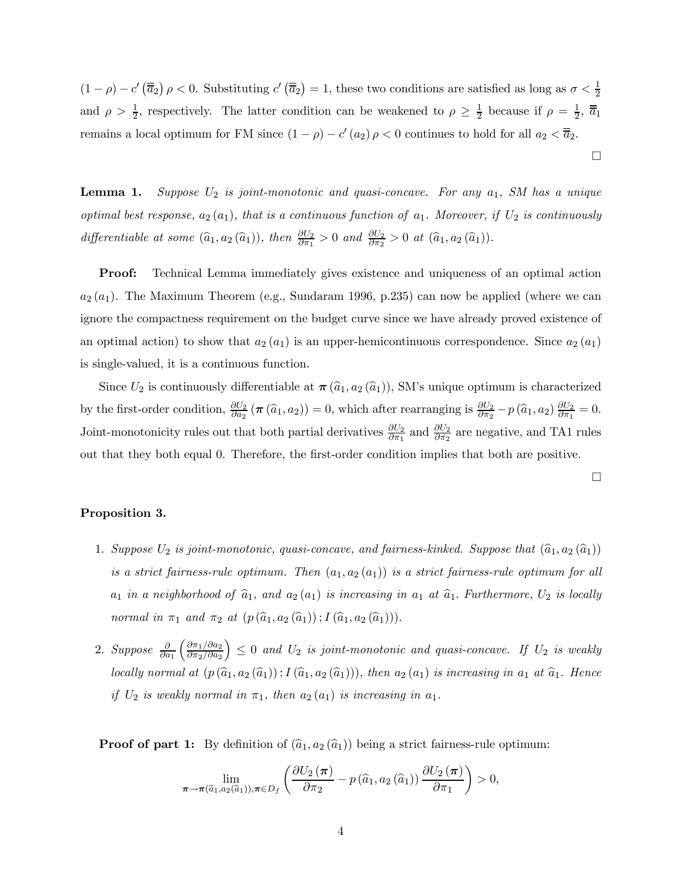$(1 - \rho) - c'(\overline{\overline{a}}_2)\rho < 0$ . Substituting  $c'(\overline{\overline{a}}_2) = 1$ , these two conditions are satisfied as long as  $\sigma < \frac{1}{2}$ and  $\rho > \frac{1}{2}$ , respectively. The latter condition can be weakened to  $\rho \geq \frac{1}{2}$  because if  $\rho = \frac{1}{2}$ ,  $\overline{a}_1$ remains a local optimum for FM since  $(1 - \rho) - c'(a_2) \rho < 0$  continues to hold for all  $a_2 < \overline{a}_2$ .

**Lemma 1.** Suppose  $U_2$  is joint-monotonic and quasi-concave. For any  $a_1$ , SM has a unique optimal best response,  $a_2(a_1)$ , that is a continuous function of  $a_1$ . Moreover, if  $U_2$  is continuously differentiable at some  $(\widehat{a}_1, a_2 (\widehat{a}_1))$ , then  $\frac{\partial U_2}{\partial \pi_1} > 0$  and  $\frac{\partial U_2}{\partial \pi_2} > 0$  at  $(\widehat{a}_1, a_2 (\widehat{a}_1))$ .

**Proof:** Technical Lemma immediately gives existence and uniqueness of an optimal action  $a_2(a_1)$ . The Maximum Theorem (e.g., Sundaram 1996, p.235) can now be applied (where we can ignore the compactness requirement on the budget curve since we have already proved existence of an optimal action) to show that  $a_2(a_1)$  is an upper-hemicontinuous correspondence. Since  $a_2(a_1)$ is single-valued, it is a continuous function.

Since  $U_2$  is continuously differentiable at  $\pi(\widehat{a}_1, a_2(\widehat{a}_1))$ , SM's unique optimum is characterized by the first-order condition,  $\frac{\partial U_2}{\partial a_2}(\pi(\hat{a}_1, a_2)) = 0$ , which after rearranging is  $\frac{\partial U_2}{\partial \pi_2} - p(\hat{a}_1, a_2) \frac{\partial U_2}{\partial \pi_1} = 0$ . Joint-monotonicity rules out that both partial derivatives  $\frac{\partial U_2}{\partial \pi_1}$  and  $\frac{\partial U_2}{\partial \pi_2}$  are negative, and TA1 rules out that they both equal 0. Therefore, the first-order condition implies that both are positive.

¤

¤

#### Proposition 3.

- 1. Suppose  $U_2$  is joint-monotonic, quasi-concave, and fairness-kinked. Suppose that  $(\widehat{a}_1, a_2 \,(\widehat{a}_1))$ is a strict fairness-rule optimum. Then  $(a_1, a_2(a_1))$  is a strict fairness-rule optimum for all  $a_1$  in a neighborhood of  $\hat{a}_1$ , and  $a_2 (a_1)$  is increasing in  $a_1$  at  $\hat{a}_1$ . Furthermore,  $U_2$  is locally normal in  $\pi_1$  and  $\pi_2$  at  $(p(\widehat{a}_1, a_2(\widehat{a}_1)) ; I(\widehat{a}_1, a_2(\widehat{a}_1))).$
- 2. Suppose  $\frac{\partial}{\partial a_1}$  $\int \frac{\partial \pi_1}{\partial a_2}$  $\partial \pi_2/\partial a_2$  $\Big) \leq 0$  and  $U_2$  is joint-monotonic and quasi-concave. If  $U_2$  is weakly locally normal at  $(p(\hat{a}_1, a_2(\hat{a}_1))$ ;  $I(\hat{a}_1, a_2(\hat{a}_1)))$ , then  $a_2(a_1)$  is increasing in  $a_1$  at  $\hat{a}_1$ . Hence if  $U_2$  is weakly normal in  $\pi_1$ , then  $a_2(a_1)$  is increasing in  $a_1$ .

**Proof of part 1:** By definition of  $(\hat{a}_1, a_2 (\hat{a}_1))$  being a strict fairness-rule optimum:

$$
\lim_{\boldsymbol{\pi}\to\boldsymbol{\pi}(\widehat{a}_1,a_2(\widehat{a}_1)),\boldsymbol{\pi}\in D_f}\left(\frac{\partial U_2(\boldsymbol{\pi})}{\partial \pi_2}-p\left(\widehat{a}_1,a_2\left(\widehat{a}_1\right)\right)\frac{\partial U_2(\boldsymbol{\pi})}{\partial \pi_1}\right)>0,
$$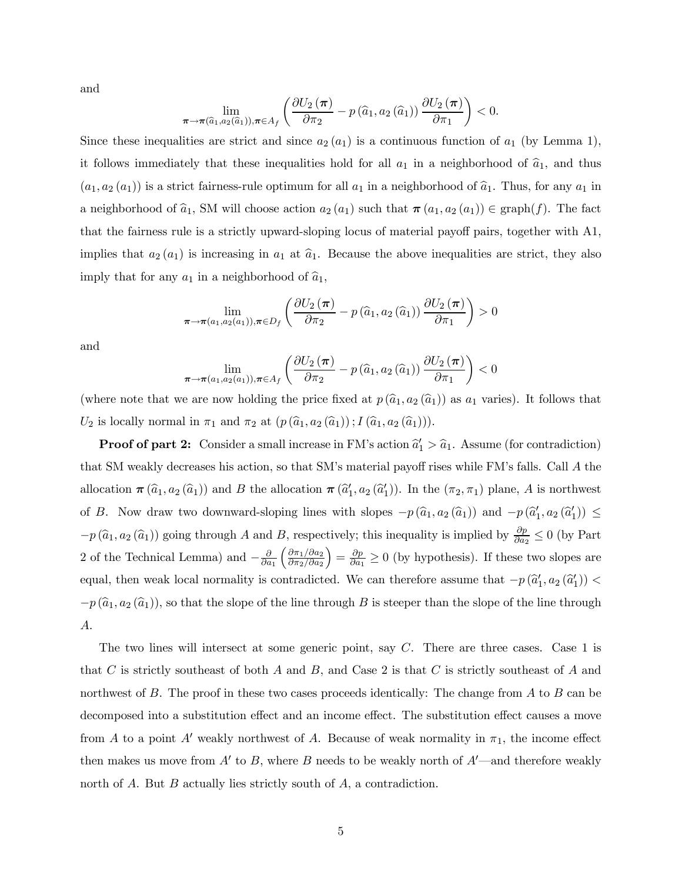and

$$
\lim_{\pi\to\pi(\widehat{a}_1,a_2(\widehat{a}_1)),\pi\in A_f}\left(\frac{\partial U_2(\pi)}{\partial \pi_2}-p\left(\widehat{a}_1,a_2\left(\widehat{a}_1\right)\right)\frac{\partial U_2(\pi)}{\partial \pi_1}\right)<0.
$$

Since these inequalities are strict and since  $a_2(a_1)$  is a continuous function of  $a_1$  (by Lemma 1), it follows immediately that these inequalities hold for all  $a_1$  in a neighborhood of  $\hat{a}_1$ , and thus  $(a_1, a_2(a_1))$  is a strict fairness-rule optimum for all  $a_1$  in a neighborhood of  $\hat{a}_1$ . Thus, for any  $a_1$  in a neighborhood of  $\hat{a}_1$ , SM will choose action  $a_2 (a_1)$  such that  $\pi (a_1, a_2 (a_1)) \in \text{graph}(f)$ . The fact that the fairness rule is a strictly upward-sloping locus of material payoff pairs, together with A1, implies that  $a_2(a_1)$  is increasing in  $a_1$  at  $\hat{a}_1$ . Because the above inequalities are strict, they also imply that for any  $a_1$  in a neighborhood of  $\hat{a}_1$ ,

$$
\lim_{\pi \to \pi(a_1, a_2(a_1)), \pi \in D_f} \left( \frac{\partial U_2(\pi)}{\partial \pi_2} - p(\widehat{a}_1, a_2(\widehat{a}_1)) \frac{\partial U_2(\pi)}{\partial \pi_1} \right) > 0
$$

and

$$
\lim_{\pi \to \pi(a_1, a_2(a_1)), \pi \in A_f} \left( \frac{\partial U_2(\pi)}{\partial \pi_2} - p(\widehat{a}_1, a_2(\widehat{a}_1)) \frac{\partial U_2(\pi)}{\partial \pi_1} \right) < 0
$$

(where note that we are now holding the price fixed at  $p(\hat{a}_1, a_2 (\hat{a}_1))$  as  $a_1$  varies). It follows that  $U_2$  is locally normal in  $\pi_1$  and  $\pi_2$  at  $(p(\widehat{a}_1, a_2(\widehat{a}_1))$ ;  $I(\widehat{a}_1, a_2(\widehat{a}_1))).$ 

**Proof of part 2:** Consider a small increase in FM's action  $\hat{a}'_1 > \hat{a}_1$ . Assume (for contradiction) that SM weakly decreases his action, so that SM's material payoff rises while FM's falls. Call  $\vec{A}$  the allocation  $\pi(\widehat{a}_1, a_2(\widehat{a}_1))$  and B the allocation  $\pi(\widehat{a}'_1, a_2(\widehat{a}'_1))$ . In the  $(\pi_2, \pi_1)$  plane, A is northwest of B. Now draw two downward-sloping lines with slopes  $-p(\hat{a}_1, a_2(\hat{a}_1))$  and  $-p(\hat{a}'_1, a_2(\hat{a}'_1)) \le$  $-p(\hat{a}_1, a_2(\hat{a}_1))$  going through A and B, respectively; this inequality is implied by  $\frac{\partial p}{\partial a_2} \leq 0$  (by Part 2 of the Technical Lemma) and  $-\frac{\partial}{\partial a_1}$  $\int \frac{\partial \pi_1}{\partial a_2}$  $\partial \pi_2/\partial a_2$  $=\frac{\partial p}{\partial a_1} \geq 0$  (by hypothesis). If these two slopes are equal, then weak local normality is contradicted. We can therefore assume that  $-p(\hat{a}'_1, a_2(\hat{a}'_1))$  $-p(\hat{a}_1, a_2(\hat{a}_1))$ , so that the slope of the line through B is steeper than the slope of the line through  $A$ .

The two lines will intersect at some generic point, say  $C$ . There are three cases. Case 1 is that C is strictly southeast of both A and B, and Case 2 is that C is strictly southeast of A and northwest of  $B$ . The proof in these two cases proceeds identically: The change from  $A$  to  $B$  can be decomposed into a substitution effect and an income effect. The substitution effect causes a move from A to a point A' weakly northwest of A. Because of weak normality in  $\pi_1$ , the income effect then makes us move from  $A'$  to  $B$ , where  $B$  needs to be weakly north of  $A'$ —and therefore weakly north of  $A$ . But  $B$  actually lies strictly south of  $A$ , a contradiction.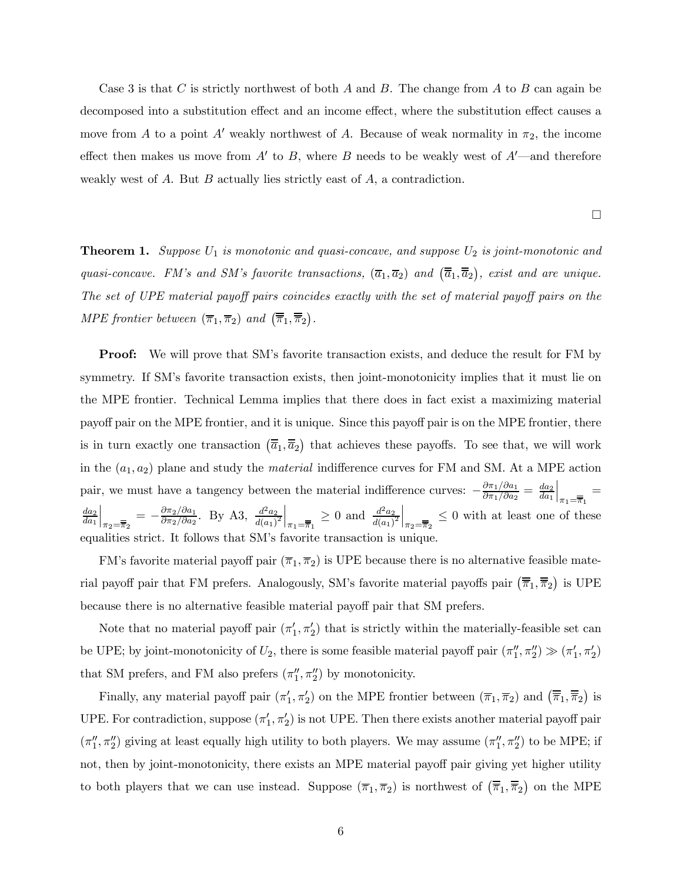Case 3 is that C is strictly northwest of both  $A$  and  $B$ . The change from  $A$  to  $B$  can again be decomposed into a substitution effect and an income effect, where the substitution effect causes a move from A to a point A' weakly northwest of A. Because of weak normality in  $\pi_2$ , the income effect then makes us move from  $A'$  to B, where B needs to be weakly west of  $A'$ —and therefore weakly west of A. But  $B$  actually lies strictly east of  $A$ , a contradiction.

¤

**Theorem 1.** Suppose  $U_1$  is monotonic and quasi-concave, and suppose  $U_2$  is joint-monotonic and quasi-concave. FM's and SM's favorite transactions,  $(\overline{a}_1, \overline{a}_2)$  and  $(\overline{\overline{a}}_1, \overline{\overline{a}}_2)$ , exist and are unique. The set of UPE material payoff pairs coincides exactly with the set of material payoff pairs on the MPE frontier between  $(\overline{\pi}_1, \overline{\pi}_2)$  and  $(\overline{\overline{\pi}}_1, \overline{\overline{\pi}}_2)$ .

Proof: We will prove that SM's favorite transaction exists, and deduce the result for FM by symmetry. If SM's favorite transaction exists, then joint-monotonicity implies that it must lie on the MPE frontier. Technical Lemma implies that there does in fact exist a maximizing material payoff pair on the MPE frontier, and it is unique. Since this payoff pair is on the MPE frontier, there is in turn exactly one transaction  $(\overline{\overline{a}}_1, \overline{\overline{a}}_2)$  that achieves these payoffs. To see that, we will work in the  $(a_1, a_2)$  plane and study the *material* indifference curves for FM and SM. At a MPE action pair, we must have a tangency between the material indifference curves:  $-\frac{\partial \pi_1/\partial a_1}{\partial \pi_1/\partial a_2} = \frac{da_2}{da_1}$  $\Big|_{\pi_1=\overline{\overline{\pi}}_1}=$  $da_2$  $da_1$  $\left|\frac{d^2a_2}{\pi_2-\overline{\pi}_2} \right|_{\pi_2=\overline{\pi}_2}$ . By A3,  $\left|\frac{d^2a_2}{d(a_1)^2}\right|_{\pi_1=\overline{\pi}_1} \geq 0$  and  $\left|\frac{d^2a_2}{d(a_1)^2}\right|_{\pi_2=\overline{\pi}_2} \leq 0$  with at least one of these equalities strict. It follows that SM's favorite transaction is unique.

FM's favorite material payoff pair  $(\overline{\pi}_1, \overline{\pi}_2)$  is UPE because there is no alternative feasible material payoff pair that FM prefers. Analogously, SM's favorite material payoffs pair  $(\overline{\overline{\pi}}_1, \overline{\overline{\pi}}_2)$  is UPE because there is no alternative feasible material payoff pair that SM prefers.

Note that no material payoff pair  $(\pi'_1, \pi'_2)$  that is strictly within the materially-feasible set can be UPE; by joint-monotonicity of  $U_2$ , there is some feasible material payoff pair  $(\pi''_1, \pi''_2) \gg (\pi'_1, \pi'_2)$ that SM prefers, and FM also prefers  $(\pi_1'', \pi_2'')$  by monotonicity.

Finally, any material payoff pair  $(\pi'_1, \pi'_2)$  on the MPE frontier between  $(\overline{\pi}_1, \overline{\pi}_2)$  and  $(\overline{\overline{\pi}}_1, \overline{\overline{\pi}}_2)$  is UPE. For contradiction, suppose  $(\pi'_1, \pi'_2)$  is not UPE. Then there exists another material payoff pair  $(\pi_1'', \pi_2'')$  giving at least equally high utility to both players. We may assume  $(\pi_1'', \pi_2'')$  to be MPE; if not, then by joint-monotonicity, there exists an MPE material payoff pair giving yet higher utility to both players that we can use instead. Suppose  $(\overline{\pi}_1, \overline{\pi}_2)$  is northwest of  $(\overline{\overline{\pi}}_1, \overline{\overline{\pi}}_2)$  on the MPE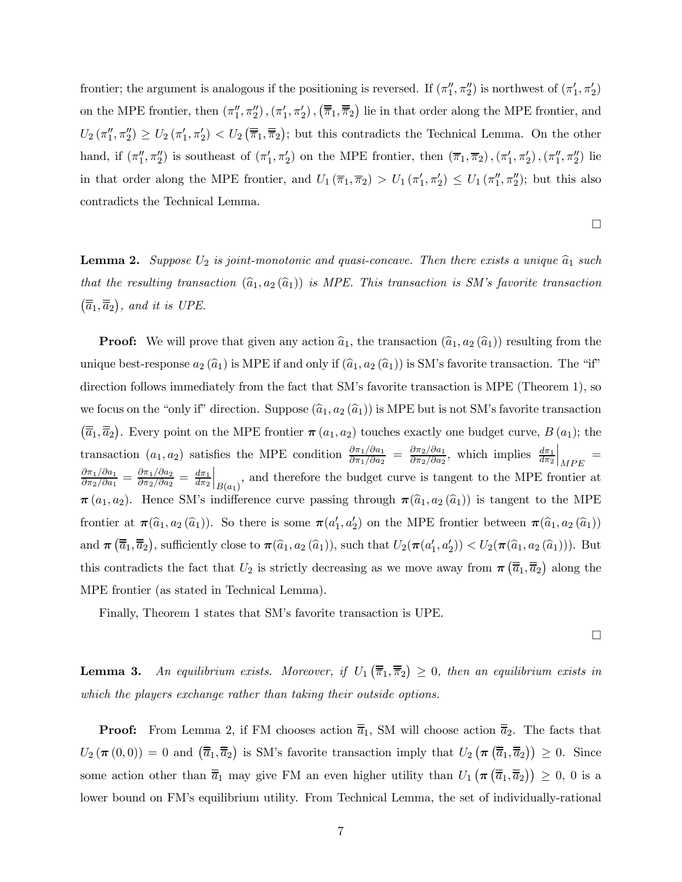frontier; the argument is analogous if the positioning is reversed. If  $(\pi_1'', \pi_2'')$  is northwest of  $(\pi_1', \pi_2')$ on the MPE frontier, then  $(\pi_1'', \pi_2'')$ ,  $(\pi_1', \pi_2')$ ,  $(\overline{\overline{\pi}}_1, \overline{\overline{\pi}}_2)$  lie in that order along the MPE frontier, and  $U_2(\pi_1'', \pi_2'') \ge U_2(\pi_1', \pi_2') < U_2(\overline{\overline{\pi}}_1, \overline{\overline{\pi}}_2)$ ; but this contradicts the Technical Lemma. On the other hand, if  $(\pi_1'', \pi_2'')$  is southeast of  $(\pi_1', \pi_2')$  on the MPE frontier, then  $(\overline{\pi}_1, \overline{\pi}_2)$ ,  $(\pi_1', \pi_2')$ ,  $(\pi_1'', \pi_2'')$  lie in that order along the MPE frontier, and  $U_1(\overline{\pi}_1, \overline{\pi}_2) > U_1(\pi'_1, \pi'_2) \leq U_1(\pi''_1, \pi''_2)$ ; but this also contradicts the Technical Lemma.

¤

**Lemma 2.** Suppose  $U_2$  is joint-monotonic and quasi-concave. Then there exists a unique  $\hat{a}_1$  such that the resulting transaction  $(\widehat{a}_1, a_2 (\widehat{a}_1))$  is MPE. This transaction is SM's favorite transaction  $(\overline{\overline{a}}_1, \overline{\overline{a}}_2)$ , and it is UPE.

**Proof:** We will prove that given any action  $\hat{a}_1$ , the transaction  $(\hat{a}_1, a_2 (\hat{a}_1))$  resulting from the unique best-response  $a_2(\hat{a}_1)$  is MPE if and only if  $(\hat{a}_1, a_2 (\hat{a}_1))$  is SM's favorite transaction. The "if" direction follows immediately from the fact that SM's favorite transaction is MPE (Theorem 1), so we focus on the "only if" direction. Suppose  $(\hat{a}_1, a_2 (\hat{a}_1))$  is MPE but is not SM's favorite transaction  $(\overline{\overline{a}}_1, \overline{\overline{a}}_2)$ . Every point on the MPE frontier  $\pi(a_1, a_2)$  touches exactly one budget curve,  $B(a_1)$ ; the transaction  $(a_1, a_2)$  satisfies the MPE condition  $\frac{\partial \pi_1/\partial a_1}{\partial \pi_1/\partial a_2} = \frac{\partial \pi_2/\partial a_1}{\partial \pi_2/\partial a_2}$ , which implies  $\frac{d\pi_1}{d\pi_2}$ sfies the MPE condition  $\frac{\partial \pi_1/\partial a_1}{\partial \pi_1/\partial a_2} = \frac{\partial \pi_2/\partial a_1}{\partial \pi_2/\partial a_2}$ , which implies  $\frac{d\pi_1}{d\pi_2}\Big|_{MPE}$  $\frac{\partial \pi_1/\partial a_1}{\partial \pi_2/\partial a_1} = \frac{\partial \pi_1/\partial a_2}{\partial \pi_2/\partial a_2} = \frac{d\pi_1}{d\pi_2}\Big|_{B(a_1)}$ , and therefore the budget curve is tangent to the MPE frontier at  $\pi(a_1, a_2)$ . Hence SM's indifference curve passing through  $\pi(\widehat{a}_1, a_2 (\widehat{a}_1))$  is tangent to the MPE frontier at  $\pi(\widehat{a}_1, a_2(\widehat{a}_1))$ . So there is some  $\pi(a'_1, a'_2)$  on the MPE frontier between  $\pi(\widehat{a}_1, a_2(\widehat{a}_1))$ and  $\pi(\overline{\overline{a}}_1, \overline{\overline{a}}_2)$ , sufficiently close to  $\pi(\widehat{a}_1, a_2(\widehat{a}_1))$ , such that  $U_2(\pi(a'_1, a'_2)) < U_2(\pi(\widehat{a}_1, a_2(\widehat{a}_1)))$ . But this contradicts the fact that  $U_2$  is strictly decreasing as we move away from  $\pi(\overline{\overline{a}}_1, \overline{\overline{a}}_2)$  along the MPE frontier (as stated in Technical Lemma).

Finally, Theorem 1 states that SM's favorite transaction is UPE.

¤

**Lemma 3.** An equilibrium exists. Moreover, if  $U_1(\overline{\overline{\pi}}_1, \overline{\overline{\pi}}_2) \ge 0$ , then an equilibrium exists in which the players exchange rather than taking their outside options.

**Proof:** From Lemma 2, if FM chooses action  $\overline{\overline{a}}_1$ , SM will choose action  $\overline{\overline{a}}_2$ . The facts that  $U_2(\pi(0,0)) = 0$  and  $(\overline{\overline{a}}_1, \overline{\overline{a}}_2)$  is SM's favorite transaction imply that  $U_2(\pi(\overline{\overline{a}}_1, \overline{\overline{a}}_2)) \geq 0$ . Since some action other than  $\overline{a}_1$  may give FM an even higher utility than  $U_1(\pi(\overline{a}_1,\overline{a}_2)) \geq 0, 0$  is a lower bound on FM's equilibrium utility. From Technical Lemma, the set of individually-rational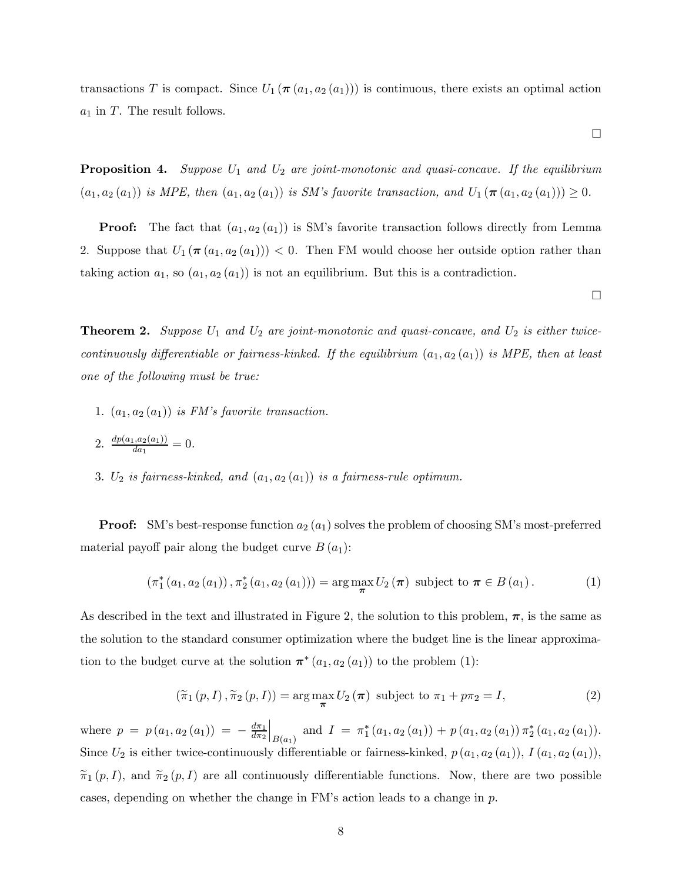transactions T is compact. Since  $U_1$  ( $\pi$  ( $a_1$ ,  $a_2$  ( $a_1$ ))) is continuous, there exists an optimal action  $a_1$  in T. The result follows.

**Proposition 4.** Suppose  $U_1$  and  $U_2$  are joint-monotonic and quasi-concave. If the equilibrium  $(a_1, a_2 (a_1))$  is MPE, then  $(a_1, a_2 (a_1))$  is SM's favorite transaction, and  $U_1 (\pi (a_1, a_2 (a_1))) \geq 0$ .

**Proof:** The fact that  $(a_1, a_2(a_1))$  is SM's favorite transaction follows directly from Lemma 2. Suppose that  $U_1 (\pi (a_1, a_2 (a_1))) < 0$ . Then FM would choose her outside option rather than taking action  $a_1$ , so  $(a_1, a_2(a_1))$  is not an equilibrium. But this is a contradiction.

 $\Box$ 

¤

**Theorem 2.** Suppose  $U_1$  and  $U_2$  are joint-monotonic and quasi-concave, and  $U_2$  is either twicecontinuously differentiable or fairness-kinked. If the equilibrium  $(a_1, a_2(a_1))$  is MPE, then at least one of the following must be true:

- 1.  $(a_1, a_2(a_1))$  is FM's favorite transaction.
- 2.  $\frac{dp(a_1, a_2(a_1))}{da_1} = 0.$
- 3.  $U_2$  is fairness-kinked, and  $(a_1, a_2(a_1))$  is a fairness-rule optimum.

**Proof:** SM's best-response function  $a_2(a_1)$  solves the problem of choosing SM's most-preferred material payoff pair along the budget curve  $B(a_1)$ :

$$
(\pi_1^*(a_1, a_2(a_1)), \pi_2^*(a_1, a_2(a_1))) = \arg\max_{\pi} U_2(\pi) \text{ subject to } \pi \in B(a_1).
$$
 (1)

As described in the text and illustrated in Figure 2, the solution to this problem,  $\pi$ , is the same as the solution to the standard consumer optimization where the budget line is the linear approximation to the budget curve at the solution  $\pi^*(a_1, a_2(a_1))$  to the problem (1):

$$
\left(\widetilde{\pi}_1\left(p, I\right), \widetilde{\pi}_2\left(p, I\right)\right) = \arg\max_{\boldsymbol{\pi}} U_2\left(\boldsymbol{\pi}\right) \text{ subject to } \pi_1 + p\pi_2 = I,\tag{2}
$$

where  $p = p(a_1, a_2(a_1)) = -\frac{d\pi_1}{d\pi_2}$  $\Big|_{B(a_1)}$  and  $I = \pi_1^*(a_1, a_2(a_1)) + p(a_1, a_2(a_1)) \pi_2^*(a_1, a_2(a_1)).$ Since  $U_2$  is either twice-continuously differentiable or fairness-kinked,  $p(a_1, a_2(a_1)), I(a_1, a_2(a_1))$ ,  $\tilde{\pi}_1 (p, I)$ , and  $\tilde{\pi}_2 (p, I)$  are all continuously differentiable functions. Now, there are two possible cases, depending on whether the change in FM's action leads to a change in  $p$ .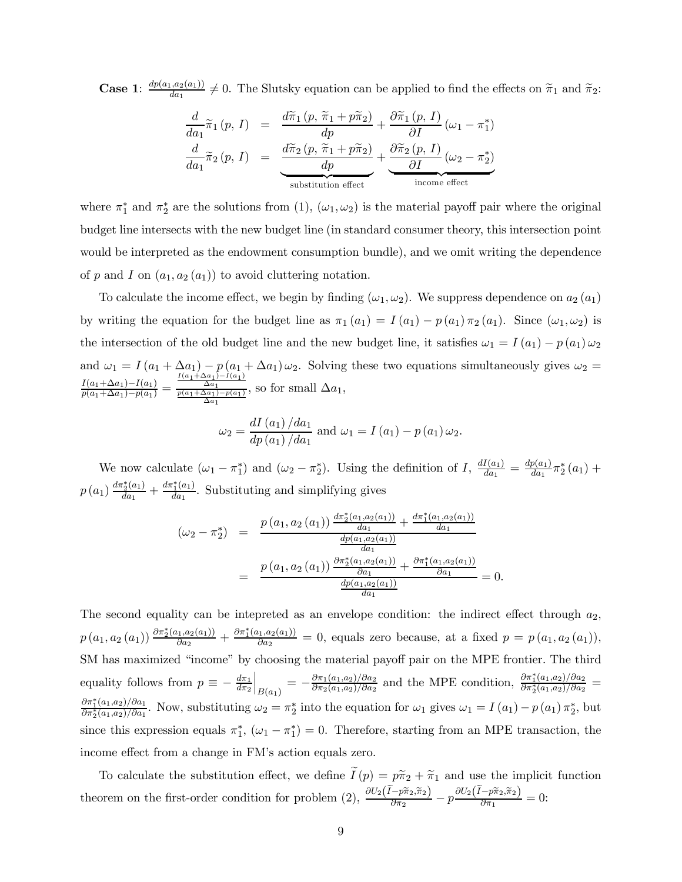**Case 1**:  $\frac{dp(a_1, a_2(a_1))}{da_1} \neq 0$ . The Slutsky equation can be applied to find the effects on  $\tilde{\pi}_1$  and  $\tilde{\pi}_2$ :

$$
\frac{d}{da_1}\widetilde{\pi}_1(p, I) = \frac{d\widetilde{\pi}_1(p, \widetilde{\pi}_1 + p\widetilde{\pi}_2)}{dp} + \frac{\partial \widetilde{\pi}_1(p, I)}{\partial I}(\omega_1 - \pi_1^*)
$$
\n
$$
\frac{d}{da_1}\widetilde{\pi}_2(p, I) = \frac{d\widetilde{\pi}_2(p, \widetilde{\pi}_1 + p\widetilde{\pi}_2)}{dp} + \underbrace{\frac{\partial \widetilde{\pi}_2(p, I)}{\partial I}(\omega_2 - \pi_2^*)}_{\text{substitution effect}}
$$

where  $\pi_1^*$  and  $\pi_2^*$  are the solutions from (1),  $(\omega_1, \omega_2)$  is the material payoff pair where the original budget line intersects with the new budget line (in standard consumer theory, this intersection point would be interpreted as the endowment consumption bundle), and we omit writing the dependence of  $p$  and  $I$  on  $(a_1, a_2(a_1))$  to avoid cluttering notation.

To calculate the income effect, we begin by finding  $(\omega_1, \omega_2)$ . We suppress dependence on  $a_2$   $(a_1)$ by writing the equation for the budget line as  $\pi_1 (a_1) = I (a_1) - p (a_1) \pi_2 (a_1)$ . Since  $(\omega_1, \omega_2)$  is the intersection of the old budget line and the new budget line, it satisfies  $\omega_1 = I(a_1) - p(a_1) \omega_2$ and  $\omega_1 = I(a_1 + \Delta a_1) - p(a_1 + \Delta a_1) \omega_2$ . Solving these two equations simultaneously gives  $\omega_2 =$  $\frac{I(a_1+\Delta a_1)-I(a_1)}{p(a_1+\Delta a_1)-p(a_1)} =$  $\frac{I(a_1+\Delta a_1)-I(a_1)}{\Delta a_1}$ <br>  $\frac{p(a_1+\Delta a_1)-p(a_1)}{\Delta a_1}$ , so for small  $\Delta a_1$ ,  $2T$  ( $\rightarrow$  )  $1$ 

$$
\omega_2 = \frac{dI(a_1)/da_1}{dp(a_1)/da_1} \text{ and } \omega_1 = I(a_1) - p(a_1)\omega_2.
$$

We now calculate  $(\omega_1 - \pi_1^*)$  and  $(\omega_2 - \pi_2^*)$ . Using the definition of I,  $\frac{dI(a_1)}{da_1} = \frac{dp(a_1)}{da_1}\pi_2^*(a_1)$  +  $p(a_1) \frac{d\pi_2^*(a_1)}{da_1} + \frac{d\pi_1^*(a_1)}{da_1}$ . Substituting and simplifying gives

$$
(\omega_2 - \pi_2^*) = \frac{p(a_1, a_2(a_1)) \frac{d\pi_2^*(a_1, a_2(a_1))}{da_1} + \frac{d\pi_1^*(a_1, a_2(a_1))}{da_1}}{\frac{dp(a_1, a_2(a_1))}{da_1}} = \frac{p(a_1, a_2(a_1)) \frac{\partial \pi_2^*(a_1, a_2(a_1))}{\partial a_1} + \frac{\partial \pi_1^*(a_1, a_2(a_1))}{\partial a_1}}{\frac{dp(a_1, a_2(a_1))}{da_1}} = 0.
$$

The second equality can be intepreted as an envelope condition: the indirect effect through  $a_2$ ,  $p(a_1, a_2(a_1)) \frac{\partial \pi_2^*(a_1, a_2(a_1))}{\partial a_2} + \frac{\partial \pi_1^*(a_1, a_2(a_1))}{\partial a_2} = 0$ , equals zero because, at a fixed  $p = p(a_1, a_2(a_1)),$ SM has maximized "income" by choosing the material payoff pair on the MPE frontier. The third equality follows from  $p \equiv -\frac{d\pi_1}{d\pi_2}$  $\Big|_{B(a_1)} = -\frac{\partial \pi_1(a_1,a_2)/\partial a_2}{\partial \pi_2(a_1,a_2)/\partial a_2}$  and the MPE condition,  $\frac{\partial \pi_1^*(a_1,a_2)/\partial a_2}{\partial \pi_2^*(a_1,a_2)/\partial a_2}$  $\frac{\partial \pi_1^*(a_1,a_2)/\partial a_1}{\partial \pi_2^*(a_1,a_2)/\partial a_1}$ . Now, substituting  $\omega_2 = \pi_2^*$  into the equation for  $\omega_1$  gives  $\omega_1 = I(a_1) - p(a_1)\pi_2^*$ , but since this expression equals  $\pi_1^*$ ,  $(\omega_1 - \pi_1^*) = 0$ . Therefore, starting from an MPE transaction, the income effect from a change in FM's action equals zero.

To calculate the substitution effect, we define  $I(p) = p\tilde{\pi}_2 + \tilde{\pi}_1$  and use the implicit function theorem on the first-order condition for problem (2),  $\frac{\partial U_2(\tilde{I}-p\tilde{\pi}_2,\tilde{\pi}_2)}{\partial \pi_2} - p \frac{\partial U_2(\tilde{I}-p\tilde{\pi}_2,\tilde{\pi}_2)}{\partial \pi_1} = 0$ :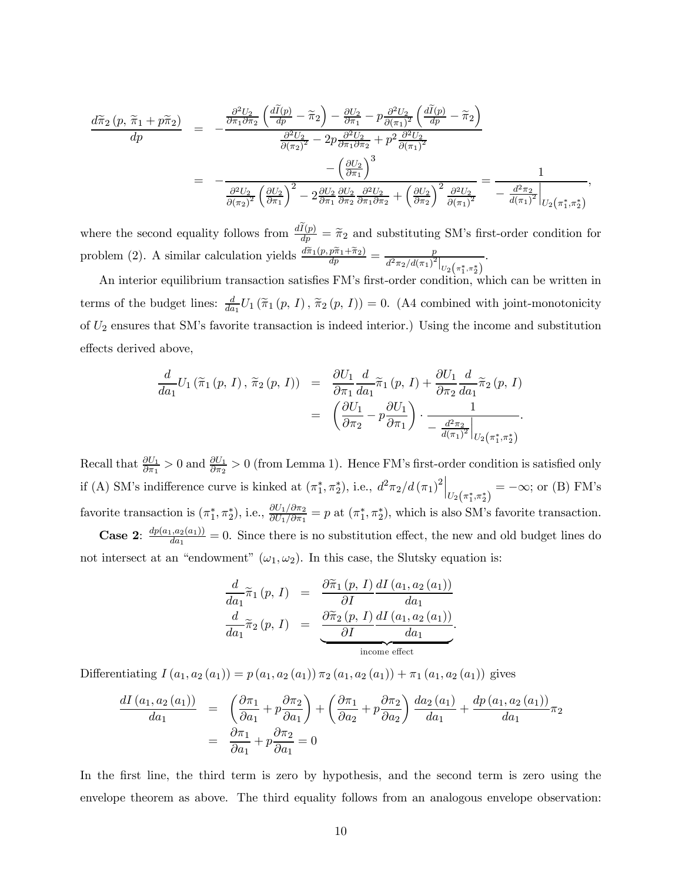$$
\frac{d\widetilde{\pi}_{2}(p,\widetilde{\pi}_{1}+p\widetilde{\pi}_{2})}{dp} = -\frac{\frac{\partial^{2}U_{2}}{\partial\pi_{1}\partial\pi_{2}}\left(\frac{d\widetilde{I}(p)}{dp}-\widetilde{\pi}_{2}\right) - \frac{\partial U_{2}}{\partial\pi_{1}}-p\frac{\partial^{2}U_{2}}{\partial(\pi_{1})^{2}}\left(\frac{d\widetilde{I}(p)}{dp}-\widetilde{\pi}_{2}\right)}{\frac{\partial^{2}U_{2}}{\partial(\pi_{2})^{2}}-2p\frac{\partial^{2}U_{2}}{\partial\pi_{1}\partial\pi_{2}}+p^{2}\frac{\partial^{2}U_{2}}{\partial(\pi_{1})^{2}}-\left(\frac{\partial U_{2}}{\partial\pi_{1}}\right)^{3}
$$
\n
$$
= -\frac{\left(\frac{\partial U_{2}}{\partial\pi_{1}}\right)^{3}}{\frac{\partial^{2}U_{2}}{\partial(\pi_{2})^{2}}\left(\frac{\partial U_{2}}{\partial\pi_{1}}\right)^{2}-2\frac{\partial U_{2}}{\partial\pi_{1}}\frac{\partial^{2}U_{2}}{\partial\pi_{2}}\frac{\partial^{2}U_{2}}{\partial\pi_{1}\partial\pi_{2}}+\left(\frac{\partial U_{2}}{\partial\pi_{2}}\right)^{2}\frac{\partial^{2}U_{2}}{\partial(\pi_{1})^{2}}-\frac{d^{2}\pi_{2}}{d(\pi_{1})^{2}}\Big|_{U_{2}\left(\pi_{1}^{*},\pi_{2}^{*}\right)}.
$$

where the second equality follows from  $\frac{dI(p)}{dp} = \tilde{\pi}_2$  and substituting SM's first-order condition for problem (2). A similar calculation yields  $\frac{d\tilde{\pi}_1(p, p\tilde{\pi}_1 + \tilde{\pi}_2)}{dp} = \frac{p}{d^2 \pi_2 / d(\pi_1)^2|_{U_2(\pi_1^*, \pi_2^*)}}$  $\ddot{\phantom{0}}$ 

An interior equilibrium transaction satisfies FM's first-order condition, which can be written in terms of the budget lines:  $\frac{d}{da_1}U_1(\tilde{\pi}_1(p, I), \tilde{\pi}_2(p, I)) = 0$ . (A4 combined with joint-monotonicity of  $U_2$  ensures that SM's favorite transaction is indeed interior.) Using the income and substitution effects derived above,

$$
\frac{d}{da_1}U_1(\widetilde{\pi}_1(p, I), \widetilde{\pi}_2(p, I)) = \frac{\partial U_1}{\partial \pi_1} \frac{d}{da_1} \widetilde{\pi}_1(p, I) + \frac{\partial U_1}{\partial \pi_2} \frac{d}{da_1} \widetilde{\pi}_2(p, I) \n= \left( \frac{\partial U_1}{\partial \pi_2} - p \frac{\partial U_1}{\partial \pi_1} \right) \cdot \frac{1}{-\frac{d^2 \pi_2}{d(\pi_1)^2} \Big|_{U_2(\pi_1^*, \pi_2^*)}}.
$$

Recall that  $\frac{\partial U_1}{\partial \pi_1} > 0$  and  $\frac{\partial U_1}{\partial \pi_2} > 0$  (from Lemma 1). Hence FM's first-order condition is satisfied only if (A) SM's indifference curve is kinked at  $(\pi_1^*, \pi_2^*)$ , i.e.,  $d^2\pi_2/d(\pi_1)^2\Big|_{U_2(\pi_1^*, \pi_2^*)} = -\infty$ ; or (B) FM's favorite transaction is  $(\pi_1^*, \pi_2^*)$ , i.e.,  $\frac{\partial U_1/\partial \pi_2}{\partial U_1/\partial \pi_1} = p$  at  $(\pi_1^*, \pi_2^*)$ , which is also SM's favorite transaction. **Case 2:**  $\frac{dp(a_1, a_2(a_1))}{da_1} = 0$ . Since there is no substitution effect, the new and old budget lines do not intersect at an "endowment"  $(\omega_1, \omega_2)$ . In this case, the Slutsky equation is:

$$
\frac{d}{da_1}\widetilde{\pi}_1(p, I) = \frac{\partial \widetilde{\pi}_1(p, I)}{\partial I}\frac{dI(a_1, a_2(a_1))}{da_1}
$$

$$
\frac{d}{da_1}\widetilde{\pi}_2(p, I) = \frac{\partial \widetilde{\pi}_2(p, I)}{\partial I}\frac{dI(a_1, a_2(a_1))}{da_1}
$$
  
income effect

Differentiating  $I(a_1, a_2(a_1)) = p(a_1, a_2(a_1)) \pi_2(a_1, a_2(a_1)) + \pi_1(a_1, a_2(a_1))$  gives

$$
\frac{dI(a_1, a_2(a_1))}{da_1} = \left(\frac{\partial \pi_1}{\partial a_1} + p \frac{\partial \pi_2}{\partial a_1}\right) + \left(\frac{\partial \pi_1}{\partial a_2} + p \frac{\partial \pi_2}{\partial a_2}\right) \frac{da_2(a_1)}{da_1} + \frac{dp(a_1, a_2(a_1))}{da_1} \pi_2
$$

$$
= \frac{\partial \pi_1}{\partial a_1} + p \frac{\partial \pi_2}{\partial a_1} = 0
$$

In the first line, the third term is zero by hypothesis, and the second term is zero using the envelope theorem as above. The third equality follows from an analogous envelope observation: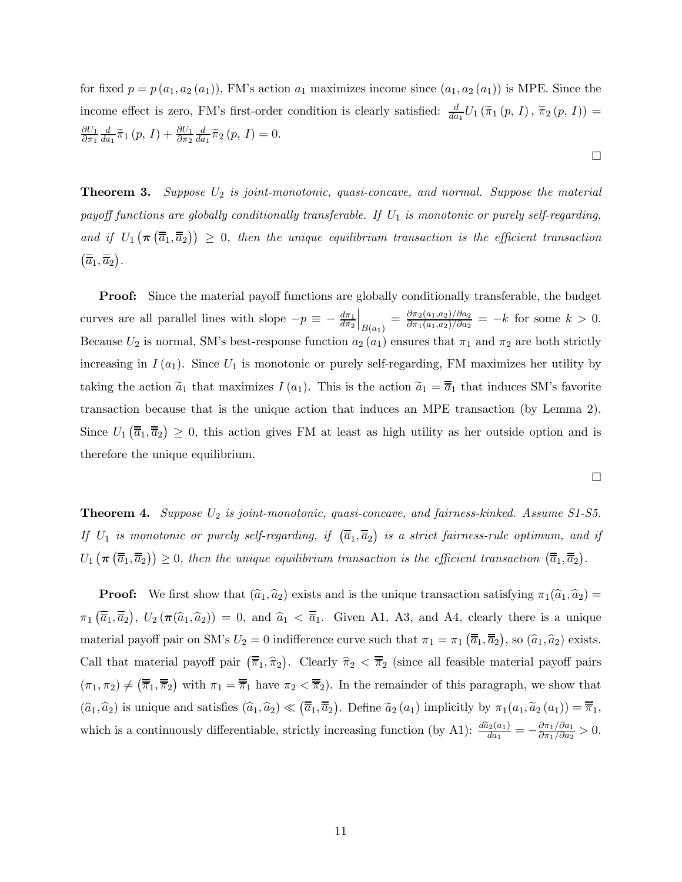for fixed  $p = p(a_1, a_2(a_1))$ , FM's action  $a_1$  maximizes income since  $(a_1, a_2(a_1))$  is MPE. Since the income effect is zero, FM's first-order condition is clearly satisfied:  $\frac{d}{da_1}U_1(\tilde{\pi}_1(p, I), \tilde{\pi}_2(p, I)) =$  $\partial U_1$  $\partial\pi_1$  $\frac{d}{da_1}\widetilde{\pi}_1(p, I) + \frac{\partial U_1}{\partial \pi_2}$  $\frac{d}{da_1}\widetilde{\pi}_2(p, I)=0.$ 

**Theorem 3.** Suppose  $U_2$  is joint-monotonic, quasi-concave, and normal. Suppose the material payoff functions are globally conditionally transferable. If  $U_1$  is monotonic or purely self-regarding, and if  $U_1(\pi(\overline{\overline{a}}_1,\overline{\overline{a}}_2)) \geq 0$ , then the unique equilibrium transaction is the efficient transaction  $\left( \overline{\overline{a}}_1, \overline{\overline{a}}_2 \right)$ .

**Proof:** Since the material payoff functions are globally conditionally transferable, the budget curves are all parallel lines with slope  $-p \equiv -\frac{d\pi_1}{d\pi_2}$  $\Big|_{B(a_1)} = \frac{\partial \pi_2(a_1, a_2)/\partial a_2}{\partial \pi_1(a_1, a_2)/\partial a_2} = -k$  for some  $k > 0$ . Because  $U_2$  is normal, SM's best-response function  $a_2(a_1)$  ensures that  $\pi_1$  and  $\pi_2$  are both strictly increasing in  $I(a_1)$ . Since  $U_1$  is monotonic or purely self-regarding, FM maximizes her utility by taking the action  $\tilde{a}_1$  that maximizes  $I(a_1)$ . This is the action  $\tilde{a}_1 = \overline{\overline{a}}_1$  that induces SM's favorite transaction because that is the unique action that induces an MPE transaction (by Lemma 2). Since  $U_1(\overline{\overline{a}}_1, \overline{\overline{a}}_2) \geq 0$ , this action gives FM at least as high utility as her outside option and is therefore the unique equilibrium.

$$
\Box
$$

 $\Box$ 

**Theorem 4.** Suppose  $U_2$  is joint-monotonic, quasi-concave, and fairness-kinked. Assume S1-S5. If  $U_1$  is monotonic or purely self-regarding, if  $(\overline{\overline{a}}_1, \overline{\overline{a}}_2)$  is a strict fairness-rule optimum, and if  $U_1\left(\boldsymbol{\pi}\left(\overline{\overline{a}}_1,\overline{\overline{a}}_2\right)\right)\geq 0$ , then the unique equilibrium transaction is the efficient transaction  $\left(\overline{\overline{a}}_1,\overline{\overline{a}}_2\right)$ .

**Proof:** We first show that  $(\hat{a}_1, \hat{a}_2)$  exists and is the unique transaction satisfying  $\pi_1(\hat{a}_1, \hat{a}_2)$  =  $\pi_1(\overline{\overline{a}}_1, \overline{\overline{a}}_2), U_2(\pi(\widehat{a}_1, \widehat{a}_2)) = 0$ , and  $\widehat{a}_1 < \overline{\overline{a}}_1$ . Given A1, A3, and A4, clearly there is a unique material payoff pair on SM's  $U_2 = 0$  indifference curve such that  $\pi_1 = \pi_1(\overline{\overline{a}}_1, \overline{\overline{a}}_2)$ , so  $(\widehat{a}_1, \widehat{a}_2)$  exists. Call that material payoff pair  $(\overline{\overline{\pi}}_1, \hat{\pi}_2)$ . Clearly  $\hat{\pi}_2 < \overline{\overline{\pi}}_2$  (since all feasible material payoff pairs  $(\pi_1, \pi_2) \neq (\overline{\overline{\pi}}_1, \overline{\overline{\pi}}_2)$  with  $\pi_1 = \overline{\overline{\pi}}_1$  have  $\pi_2 < \overline{\overline{\pi}}_2$ ). In the remainder of this paragraph, we show that  $(\widehat{a}_1, \widehat{a}_2)$  is unique and satisfies  $(\widehat{a}_1, \widehat{a}_2) \ll (\overline{\overline{a}}_1, \overline{\overline{a}}_2)$ . Define  $\widetilde{a}_2(a_1)$  implicitly by  $\pi_1(a_1, \widetilde{a}_2(a_1)) = \overline{\overline{\pi}}_1$ , which is a continuously differentiable, strictly increasing function (by A1):  $\frac{d\tilde{a}_2(a_1)}{da_1} = -\frac{\partial \pi_1/\partial a_1}{\partial \pi_1/\partial a_2} > 0$ .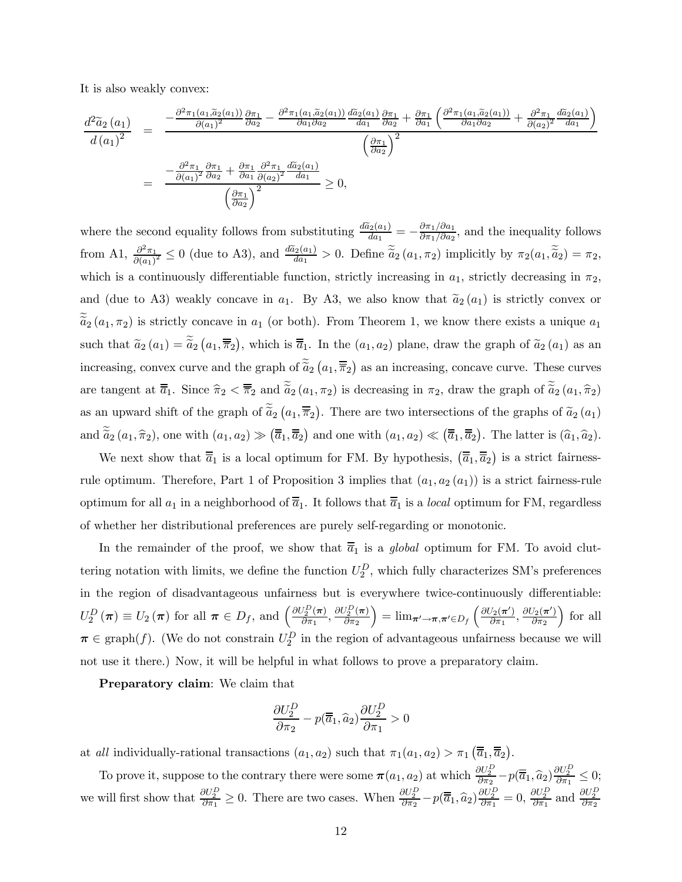It is also weakly convex:

$$
\frac{d^2\tilde{a}_2(a_1)}{d(a_1)^2} = \frac{-\frac{\partial^2 \pi_1(a_1, \tilde{a}_2(a_1))}{\partial (a_1)^2} \frac{\partial \pi_1}{\partial a_2} - \frac{\partial^2 \pi_1(a_1, \tilde{a}_2(a_1))}{\partial a_1 \partial a_2} \frac{d\tilde{a}_2(a_1)}{da_1} \frac{\partial \pi_1}{\partial a_2} + \frac{\partial \pi_1}{\partial a_1} \left(\frac{\partial^2 \pi_1(a_1, \tilde{a}_2(a_1))}{\partial a_1 \partial a_2} + \frac{\partial^2 \pi_1}{\partial (a_2)^2} \frac{d\tilde{a}_2(a_1)}{da_1}\right)}{\left(\frac{\partial \pi_1}{\partial a_2}\right)^2}
$$
\n
$$
= \frac{-\frac{\partial^2 \pi_1}{\partial (a_1)^2} \frac{\partial \pi_1}{\partial a_2} + \frac{\partial \pi_1}{\partial a_1} \frac{\partial^2 \pi_1}{\partial (a_2)^2} \frac{d\tilde{a}_2(a_1)}{da_1}}{\left(\frac{\partial \pi_1}{\partial a_2}\right)^2} \ge 0,
$$
\n
$$
\left(\frac{\partial \pi_1}{\partial a_2}\right)^2 \ge 0,
$$

where the second equality follows from substituting  $\frac{d\tilde{a}_2(a_1)}{da_1} = -\frac{\partial \pi_1/\partial a_1}{\partial \pi_1/\partial a_2}$ , and the inequality follows from A1,  $\frac{\partial^2 \pi_1}{\partial (a_1)^2} \leq 0$  (due to A3), and  $\frac{d\tilde{a}_2(a_1)}{da_1} > 0$ . Define  $\tilde{\tilde{a}}_2(a_1, \pi_2)$  implicitly by  $\pi_2(a_1, \tilde{\tilde{a}}_2) = \pi_2$ , which is a continuously differentiable function, strictly increasing in  $a_1$ , strictly decreasing in  $\pi_2$ , and (due to A3) weakly concave in  $a_1$ . By A3, we also know that  $\tilde{a}_2(a_1)$  is strictly convex or  $\tilde{a}_2$  ( $a_1, \pi_2$ ) is strictly concave in  $a_1$  (or both). From Theorem 1, we know there exists a unique  $a_1$ such that  $\tilde{a}_2(a_1) = \tilde{\tilde{a}}_2(a_1, \overline{\overline{\pi}}_2)$ , which is  $\overline{\overline{a}}_1$ . In the  $(a_1, a_2)$  plane, draw the graph of  $\tilde{a}_2(a_1)$  as an increasing, convex curve and the graph of  $\tilde{\tilde{a}}_2(a_1,\overline{\overline{\pi}}_2)$  as an increasing, concave curve. These curves are tangent at  $\overline{\overline{a}}_1$ . Since  $\widehat{\pi}_2 < \overline{\overline{\pi}}_2$  and  $\widetilde{\widetilde{a}}_2 (a_1, \pi_2)$  is decreasing in  $\pi_2$ , draw the graph of  $\widetilde{\widetilde{a}}_2 (a_1, \widehat{\pi}_2)$ as an upward shift of the graph of  $\tilde{\tilde{a}}_2(a_1,\overline{\overline{\pi}}_2)$ . There are two intersections of the graphs of  $\tilde{a}_2(a_1)$ and  $\tilde{\tilde{a}}_2(a_1, \hat{\pi}_2)$ , one with  $(a_1, a_2) \gg (\overline{\tilde{a}}_1, \overline{\tilde{a}}_2)$  and one with  $(a_1, a_2) \ll (\overline{\tilde{a}}_1, \overline{\tilde{a}}_2)$ . The latter is  $(\hat{a}_1, \hat{a}_2)$ .

We next show that  $\overline{\overline{a}}_1$  is a local optimum for FM. By hypothesis,  $(\overline{\overline{a}}_1, \overline{\overline{a}}_2)$  is a strict fairnessrule optimum. Therefore, Part 1 of Proposition 3 implies that  $(a_1, a_2(a_1))$  is a strict fairness-rule optimum for all  $a_1$  in a neighborhood of  $\overline{a}_1$ . It follows that  $\overline{a}_1$  is a local optimum for FM, regardless of whether her distributional preferences are purely self-regarding or monotonic.

In the remainder of the proof, we show that  $\overline{a}_1$  is a global optimum for FM. To avoid cluttering notation with limits, we define the function  $U_2^D$ , which fully characterizes SM's preferences in the region of disadvantageous unfairness but is everywhere twice-continuously differentiable:  $U_2^D(\pi) \equiv U_2(\pi)$  for all  $\pi \in D_f$ , and  $\left(\frac{\partial U_2^D(\pi)}{\partial \pi_1}, \frac{\partial U_2^D(\pi)}{\partial \pi_2}\right)$  $\partial\pi_2$  $\Big) = {\rm lim}_{\boldsymbol{\pi}' \rightarrow \boldsymbol{\pi}, \boldsymbol{\pi}' \in D_f} \, \Big( \frac{\partial U_2(\boldsymbol{\pi}')}{\partial \pi_1}, \frac{\partial U_2(\boldsymbol{\pi}')}{\partial \pi_2} \Big)$  $\partial\pi_2$ ´ for all  $\pi \in \text{graph}(f)$ . (We do not constrain  $U_2^D$  in the region of advantageous unfairness because we will not use it there.) Now, it will be helpful in what follows to prove a preparatory claim.

Preparatory claim: We claim that

$$
\frac{\partial U_2^D}{\partial \pi_2} - p(\overline{\overline{a}}_1, \widehat{a}_2) \frac{\partial U_2^D}{\partial \pi_1} > 0
$$

at all individually-rational transactions  $(a_1, a_2)$  such that  $\pi_1(a_1, a_2) > \pi_1(\overline{\overline{a}}_1, \overline{\overline{a}}_2)$ .

To prove it, suppose to the contrary there were some  $\pi(a_1, a_2)$  at which  $\frac{\partial U_2^D}{\partial \pi_2} - p(\overline{\overline{a}}_1, \widehat{a}_2) \frac{\partial U_2^D}{\partial \pi_1} \leq 0$ ; we will first show that  $\frac{\partial U_2^D}{\partial \pi_1} \ge 0$ . There are two cases. When  $\frac{\partial U_2^D}{\partial \pi_2} - p(\overline{\overline{a}}_1, \widehat{a}_2) \frac{\partial U_2^D}{\partial \pi_1} = 0$ ,  $\frac{\partial U_2^D}{\partial \pi_1}$  and  $\frac{\partial U_2^D}{\partial \pi_2}$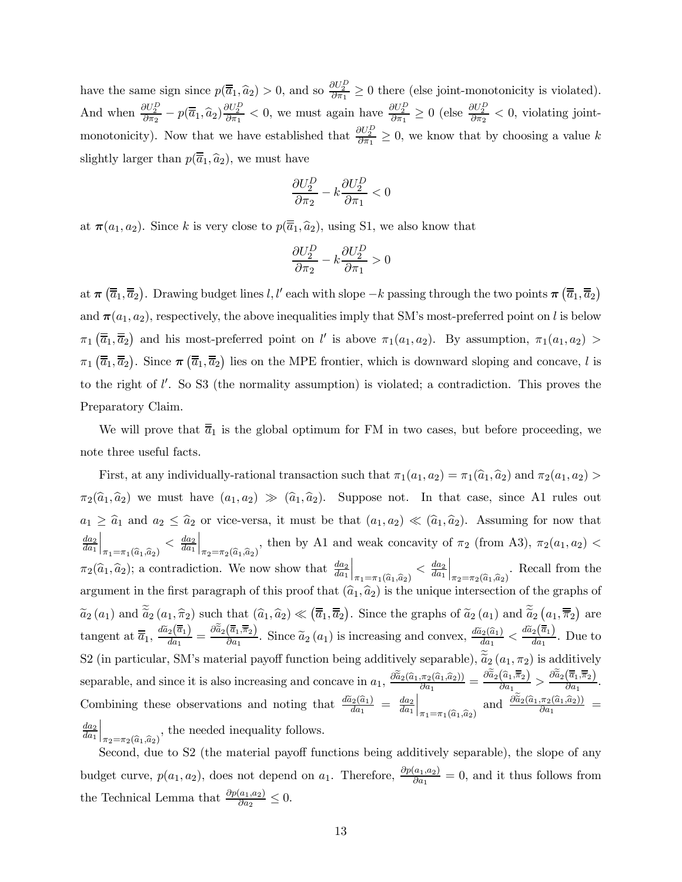have the same sign since  $p(\overline{\overline{a}}_1, \widehat{a}_2) > 0$ , and so  $\frac{\partial U_2^D}{\partial \pi_1} \ge 0$  there (else joint-monotonicity is violated). And when  $\frac{\partial U_2^D}{\partial \pi_2} - p(\overline{\overline{a}}_1, \widehat{a}_2) \frac{\partial U_2^D}{\partial \pi_1} < 0$ , we must again have  $\frac{\partial U_2^D}{\partial \pi_1} \ge 0$  (else  $\frac{\partial U_2^D}{\partial \pi_2} < 0$ , violating jointmonotonicity). Now that we have established that  $\frac{\partial U_2^D}{\partial \pi_1} \geq 0$ , we know that by choosing a value k slightly larger than  $p(\overline{\overline{a}}_1, \widehat{a}_2)$ , we must have

$$
\frac{\partial U_2^D}{\partial \pi_2} - k \frac{\partial U_2^D}{\partial \pi_1} < 0
$$

at  $\pi(a_1, a_2)$ . Since k is very close to  $p(\overline{\overline{a}}_1, \widehat{a}_2)$ , using S1, we also know that

$$
\frac{\partial U_2^D}{\partial \pi_2} - k \frac{\partial U_2^D}{\partial \pi_1} > 0
$$

at  $\pi\left(\overline{\overline{a}}_1, \overline{\overline{a}}_2\right)$ . Drawing budget lines  $l, l'$  each with slope  $-k$  passing through the two points  $\pi\left(\overline{\overline{a}}_1, \overline{\overline{a}}_2\right)$ and  $\pi(a_1, a_2)$ , respectively, the above inequalities imply that SM's most-preferred point on l is below  $\pi_1(\overline{\overline{a}}_1, \overline{\overline{a}}_2)$  and his most-preferred point on l' is above  $\pi_1(a_1, a_2)$ . By assumption,  $\pi_1(a_1, a_2)$  $\pi_1(\overline{\overline{a}}_1, \overline{\overline{a}}_2)$ . Since  $\pi(\overline{\overline{a}}_1, \overline{\overline{a}}_2)$  lies on the MPE frontier, which is downward sloping and concave, l is to the right of  $l'$ . So S3 (the normality assumption) is violated; a contradiction. This proves the Preparatory Claim.

We will prove that  $\overline{\overline{a}}_1$  is the global optimum for FM in two cases, but before proceeding, we note three useful facts.

First, at any individually-rational transaction such that  $\pi_1(a_1, a_2) = \pi_1(\widehat{a}_1, \widehat{a}_2)$  and  $\pi_2(a_1, a_2)$  $\pi_2(\hat{a}_1, \hat{a}_2)$  we must have  $(a_1, a_2) \gg (\hat{a}_1, \hat{a}_2)$ . Suppose not. In that case, since A1 rules out  $a_1 \geq \hat{a}_1$  and  $a_2 \leq \hat{a}_2$  or vice-versa, it must be that  $(a_1, a_2) \ll (\hat{a}_1, \hat{a}_2)$ . Assuming for now that  $da_2$  $da_1$  $\Big|_{\pi_1 = \pi_1(\widehat{a}_1, \widehat{a}_2)}$  $\langle \frac{da_2}{da_1}$  $\Big|_{\pi_2=\pi_2(\widehat{a}_1,\widehat{a}_2)}$ , then by A1 and weak concavity of  $\pi_2$  (from A3),  $\pi_2(a_1, a_2)$  <  $\pi_2(\widehat{a}_1, \widehat{a}_2)$ ; a contradiction. We now show that  $\frac{da_2}{da_1}$  $\Big|_{\pi_1 = \pi_1(\widehat{a}_1, \widehat{a}_2)}$  $\langle \frac{da_2}{da_1}$  $\Big|_{\pi_2=\pi_2(\widehat{a}_1,\widehat{a}_2)}$ . Recall from the argument in the first paragraph of this proof that  $(\hat{a}_1, \hat{a}_2)$  is the unique intersection of the graphs of  $\widetilde{a}_2(a_1)$  and  $\widetilde{a}_2(a_1, \widehat{\pi}_2)$  such that  $(\widehat{a}_1, \widehat{a}_2) \ll (\overline{\overline{a}}_1, \overline{\overline{a}}_2)$ . Since the graphs of  $\widetilde{a}_2(a_1)$  and  $\widetilde{a}_2(a_1, \overline{\overline{\pi}}_2)$  are tangent at  $\overline{\overline{a}}_1$ ,  $\frac{d\widetilde{a}_2(\overline{\overline{a}}_1)}{da_1} = \frac{\partial \widetilde{a}_2(\overline{\overline{a}}_1, \overline{\overline{\overline{n}}_2})}{\partial a_1}$ . Since  $\widetilde{a}_2(a_1)$  is increasing and convex,  $\frac{d\widetilde{a}_2(\widehat{a}_1)}{da_1} < \frac{d\widetilde{a}_2(\overline{\overline{a}}_1)}{da_1}$ . Due to S2 (in particular, SM's material payoff function being additively separable),  $\tilde{a}_2(a_1, \pi_2)$  is additively separable, and since it is also increasing and concave in  $a_1$ ,  $\frac{\partial \widetilde{a}_2(\widehat{a}_1, \pi_2(\widehat{a}_1, \widehat{a}_2))}{\partial a_1} = \frac{\partial \widetilde{a}_2(\widehat{a}_1, \overline{\pi}_2)}{\partial a_1} > \frac{\partial \widetilde{a}_2(\overline{a}_1, \overline{\pi}_2)}{\partial a_1}$ . Combining these observations and noting that  $\frac{d\tilde{a}_2(\hat{a}_1)}{da_1} = \frac{da_2}{da_1}$  $\Big|_{\pi_1 = \pi_1(\widehat{a}_1, \widehat{a}_2)}$ and  $\frac{\partial \widetilde{a}_2(\widehat{a}_1,\pi_2(\widehat{a}_1,\widehat{a}_2))}{\partial a_1}$  =  $da_2$  $da_1$  $\Big|_{\pi_2 = \pi_2(\widehat{a}_1, \widehat{a}_2)}$ , the needed inequality follows.

Second, due to S2 (the material payoff functions being additively separable), the slope of any budget curve,  $p(a_1, a_2)$ , does not depend on  $a_1$ . Therefore,  $\frac{\partial p(a_1, a_2)}{\partial a_1} = 0$ , and it thus follows from the Technical Lemma that  $\frac{\partial p(a_1, a_2)}{\partial a_2} \leq 0$ .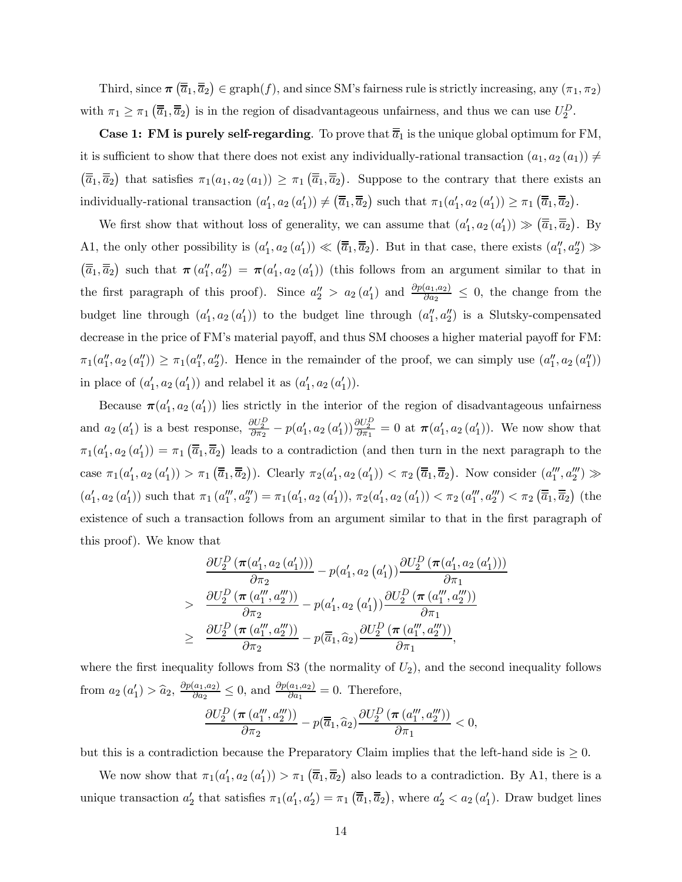Third, since  $\pi(\overline{\overline{a}}_1, \overline{\overline{a}}_2) \in \text{graph}(f)$ , and since SM's fairness rule is strictly increasing, any  $(\pi_1, \pi_2)$ with  $\pi_1 \ge \pi_1 \left( \overline{\overline{a}}_1, \overline{\overline{a}}_2 \right)$  is in the region of disadvantageous unfairness, and thus we can use  $U_2^D$ .

**Case 1: FM is purely self-regarding**. To prove that  $\overline{\overline{a}}_1$  is the unique global optimum for FM, it is sufficient to show that there does not exist any individually-rational transaction  $(a_1, a_2(a_1)) \neq$  $(\overline{\overline{a}}_1, \overline{\overline{a}}_2)$  that satisfies  $\pi_1(a_1, a_2(a_1)) \geq \pi_1(\overline{\overline{a}}_1, \overline{\overline{a}}_2)$ . Suppose to the contrary that there exists an individually-rational transaction  $(a'_1, a_2(a'_1)) \neq (\overline{\overline{a}}_1, \overline{\overline{a}}_2)$  such that  $\pi_1(a'_1, a_2(a'_1)) \geq \pi_1(\overline{\overline{a}}_1, \overline{\overline{a}}_2)$ .

We first show that without loss of generality, we can assume that  $(a'_1, a_2(a'_1)) \gg (\overline{\overline{a}}_1, \overline{\overline{a}}_2)$ . By A1, the only other possibility is  $(a'_1, a_2(a'_1)) \ll (\overline{\overline{a}}_1, \overline{\overline{a}}_2)$ . But in that case, there exists  $(a''_1, a''_2) \gg$  $(\overline{\overline{a}}_1, \overline{\overline{a}}_2)$  such that  $\pi(a''_1, a''_2) = \pi(a'_1, a_2(a'_1))$  (this follows from an argument similar to that in the first paragraph of this proof). Since  $a''_2 > a_2(a'_1)$  and  $\frac{\partial p(a_1, a_2)}{\partial a_2} \leq 0$ , the change from the budget line through  $(a'_1, a_2(a'_1))$  to the budget line through  $(a''_1, a''_2)$  is a Slutsky-compensated decrease in the price of FM's material payoff, and thus SM chooses a higher material payoff for FM:  $\pi_1(a''_1, a_2(a''_1)) \ge \pi_1(a''_1, a''_2)$ . Hence in the remainder of the proof, we can simply use  $(a''_1, a_2(a''_1))$ in place of  $(a'_1, a_2(a'_1))$  and relabel it as  $(a'_1, a_2(a'_1))$ .

Because  $\pi(a'_1, a_2(a'_1))$  lies strictly in the interior of the region of disadvantageous unfairness and  $a_2(a'_1)$  is a best response,  $\frac{\partial U_2^D}{\partial \pi_2} - p(a'_1, a_2(a'_1)) \frac{\partial U_2^D}{\partial \pi_1} = 0$  at  $\pi(a'_1, a_2(a'_1))$ . We now show that  $\pi_1(a'_1, a_2(a'_1)) = \pi_1(\overline{\overline{a}}_1, \overline{\overline{a}}_2)$  leads to a contradiction (and then turn in the next paragraph to the case  $\pi_1(a'_1, a_2(a'_1)) > \pi_1(\overline{\overline{a}}_1, \overline{\overline{a}}_2)$ . Clearly  $\pi_2(a'_1, a_2(a'_1)) < \pi_2(\overline{\overline{a}}_1, \overline{\overline{a}}_2)$ . Now consider  $(a''_1, a''_2) \gg$  $(a'_1, a_2(a'_1))$  such that  $\pi_1(a''_1, a''_2) = \pi_1(a'_1, a_2(a'_1)), \pi_2(a'_1, a_2(a'_1)) < \pi_2(a''_1, a''_2) < \pi_2(\overline{\overline{a}}_1, \overline{\overline{a}}_2)$  (the existence of such a transaction follows from an argument similar to that in the first paragraph of this proof). We know that

$$
\frac{\partial U_2^D \left(\pi(a'_1, a_2(a'_1))\right)}{\partial \pi_2} - p(a'_1, a_2(a'_1)) \frac{\partial U_2^D \left(\pi(a'_1, a_2(a'_1))\right)}{\partial \pi_1}
$$
\n
$$
> \frac{\partial U_2^D \left(\pi(a''_1, a''_2)\right)}{\partial \pi_2} - p(a'_1, a_2(a'_1)) \frac{\partial U_2^D \left(\pi(a''_1, a''_2)\right)}{\partial \pi_1}
$$
\n
$$
\geq \frac{\partial U_2^D \left(\pi(a''_1, a''_2)\right)}{\partial \pi_2} - p(\overline{a}_1, \widehat{a}_2) \frac{\partial U_2^D \left(\pi(a''_1, a''_2)\right)}{\partial \pi_1},
$$

where the first inequality follows from S3 (the normality of  $U_2$ ), and the second inequality follows from  $a_2(a'_1) > \hat{a}_2$ ,  $\frac{\partial p(a_1, a_2)}{\partial a_2} \leq 0$ , and  $\frac{\partial p(a_1, a_2)}{\partial a_1} = 0$ . Therefore,  $\partial U_2^D\left(\boldsymbol{\pi}\left(a_1''',a_2'''\right)\right)$  $\frac{\overline{C_{(a_1, a_2)}})}{\partial \pi_2} - p(\overline{a}_1, \widehat{a}_2)$  $\partial U_2^D\left(\boldsymbol{\pi}\left(a_1''',a_2'''\right)\right)$  $\frac{\partial \overline{u_1} \cdot \overline{u_2} \cdot \overline{u_2}}{\partial \pi_1} < 0,$ 

but this is a contradiction because the Preparatory Claim implies that the left-hand side is  $\geq 0$ .

We now show that  $\pi_1(a'_1, a_2(a'_1)) > \pi_1(\overline{\overline{a}}_1, \overline{\overline{a}}_2)$  also leads to a contradiction. By A1, there is a unique transaction  $a'_2$  that satisfies  $\pi_1(a'_1, a'_2) = \pi_1(\overline{\overline{a}}_1, \overline{\overline{a}}_2)$ , where  $a'_2 < a_2(a'_1)$ . Draw budget lines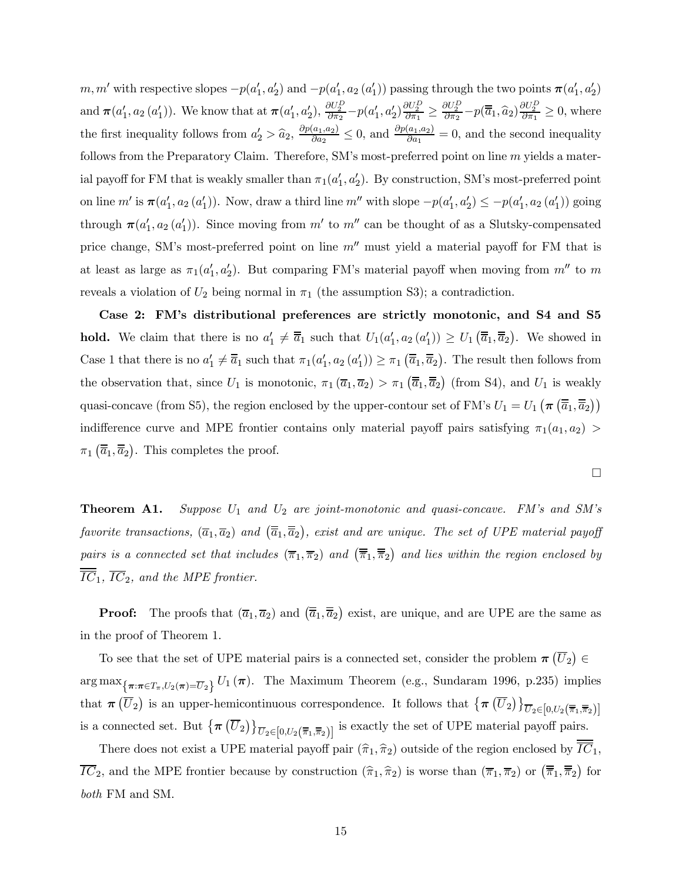$m, m'$  with respective slopes  $-p(a'_1, a'_2)$  and  $-p(a'_1, a_2(a'_1))$  passing through the two points  $\pi(a'_1, a'_2)$ and  $\pi(a'_1, a_2(a'_1))$ . We know that at  $\pi(a'_1, a'_2)$ ,  $\frac{\partial U_2^D}{\partial \pi_2} - p(a'_1, a'_2) \frac{\partial U_2^D}{\partial \pi_1} \ge \frac{\partial U_2^D}{\partial \pi_2} - p(\overline{a}_1, \widehat{a}_2) \frac{\partial U_2^D}{\partial \pi_1} \ge 0$ , where the first inequality follows from  $a'_2 > \hat{a}_2$ ,  $\frac{\partial p(a_1, a_2)}{\partial a_2} \leq 0$ , and  $\frac{\partial p(a_1, a_2)}{\partial a_1} = 0$ , and the second inequality follows from the Preparatory Claim. Therefore, SM's most-preferred point on line  $m$  yields a material payoff for FM that is weakly smaller than  $\pi_1(a'_1, a'_2)$ . By construction, SM's most-preferred point on line  $m'$  is  $\pi(a'_1, a_2(a'_1))$ . Now, draw a third line  $m''$  with slope  $-p(a'_1, a'_2) \le -p(a'_1, a_2(a'_1))$  going through  $\pi(a'_1, a_2(a'_1))$ . Since moving from m' to m'' can be thought of as a Slutsky-compensated price change, SM's most-preferred point on line  $m''$  must yield a material payoff for FM that is at least as large as  $\pi_1(a'_1, a'_2)$ . But comparing FM's material payoff when moving from  $m''$  to m reveals a violation of  $U_2$  being normal in  $\pi_1$  (the assumption S3); a contradiction.

Case 2: FM's distributional preferences are strictly monotonic, and S4 and S5 hold. We claim that there is no  $a'_1 \neq \overline{a}_1$  such that  $U_1(a'_1, a_2(a'_1)) \geq U_1(\overline{a}_1, \overline{a}_2)$ . We showed in Case 1 that there is no  $a'_1 \neq \overline{\overline{a}}_1$  such that  $\pi_1(a'_1, a_2(a'_1)) \geq \pi_1(\overline{\overline{a}}_1, \overline{\overline{a}}_2)$ . The result then follows from the observation that, since  $U_1$  is monotonic,  $\pi_1(\overline{a}_1, \overline{a}_2) > \pi_1(\overline{\overline{a}}_1, \overline{\overline{a}}_2)$  (from S4), and  $U_1$  is weakly quasi-concave (from S5), the region enclosed by the upper-contour set of FM's  $U_1 = U_1 (\pi (\overline{\overline{a}}_1, \overline{\overline{a}}_2))$ indifference curve and MPE frontier contains only material payoff pairs satisfying  $\pi_1(a_1, a_2)$  $\pi_1(\overline{\overline{a}}_1, \overline{\overline{a}}_2)$ . This completes the proof.

¤

**Theorem A1.** Suppose  $U_1$  and  $U_2$  are joint-monotonic and quasi-concave. FM's and SM's favorite transactions,  $(\overline{a}_1, \overline{a}_2)$  and  $(\overline{\overline{a}}_1, \overline{\overline{a}}_2)$ , exist and are unique. The set of UPE material payoff pairs is a connected set that includes  $(\overline{\pi}_1, \overline{\pi}_2)$  and  $(\overline{\overline{\pi}}_1, \overline{\overline{\pi}}_2)$  and lies within the region enclosed by  $\overline{IC}_1$ ,  $\overline{IC}_2$ , and the MPE frontier.

**Proof:** The proofs that  $(\overline{a}_1, \overline{a}_2)$  and  $(\overline{\overline{a}}_1, \overline{\overline{a}}_2)$  exist, are unique, and are UPE are the same as in the proof of Theorem 1.

To see that the set of UPE material pairs is a connected set, consider the problem  $\pi(\overline{U}_2) \in$  $\arg \max_{\{\pi: \pi \in T_{\pi}, U_2(\pi) = \overline{U}_2\}} U_1(\pi)$ . The Maximum Theorem (e.g., Sundaram 1996, p.235) implies that  $\pi(\overline{U}_2)$  is an upper-hemicontinuous correspondence. It follows that  $\{\pi(\overline{U}_2)\}_{\overline{U}_2 \in [0,U_2(\overline{\pi}_1,\overline{\pi}_2)]}$ is a connected set. But  $\{\pi\left(\overline{U}_2\right)\}_{\overline{U}_2 \in [0, U_2(\overline{\overline{\pi}}_1, \overline{\overline{\pi}}_2)]}$  is exactly the set of UPE material payoff pairs.

There does not exist a UPE material payoff pair  $(\hat{\pi}_1, \hat{\pi}_2)$  outside of the region enclosed by  $\overline{IC}_1$ ,  $\overline{IC}_2$ , and the MPE frontier because by construction  $(\widehat{\pi}_1, \widehat{\pi}_2)$  is worse than  $(\overline{\pi}_1, \overline{\pi}_2)$  or  $(\overline{\overline{\pi}}_1, \overline{\overline{\pi}}_2)$  for both FM and SM.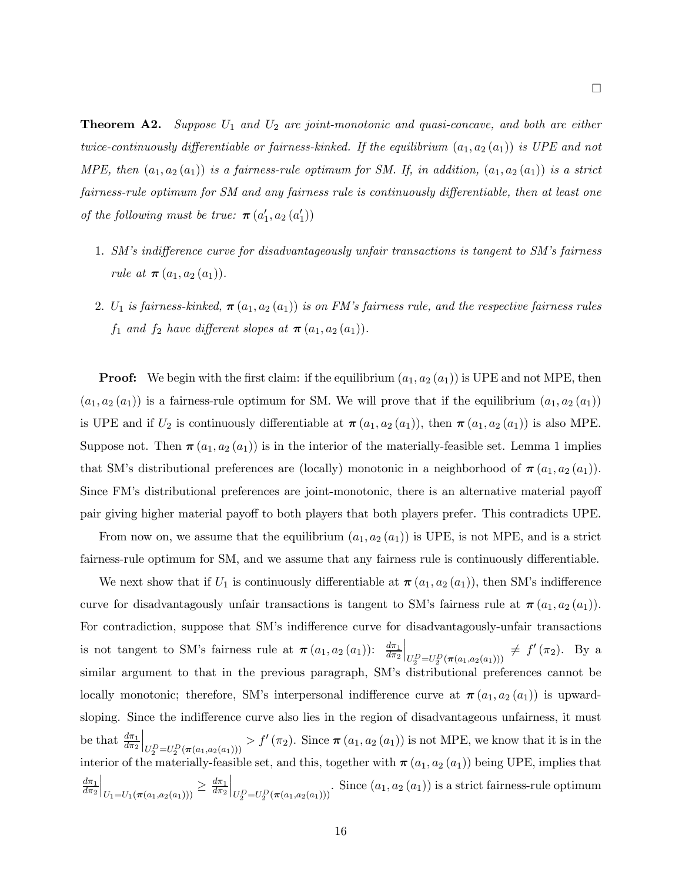**Theorem A2.** Suppose  $U_1$  and  $U_2$  are joint-monotonic and quasi-concave, and both are either twice-continuously differentiable or fairness-kinked. If the equilibrium  $(a_1, a_2 (a_1))$  is UPE and not MPE, then  $(a_1, a_2(a_1))$  is a fairness-rule optimum for SM. If, in addition,  $(a_1, a_2(a_1))$  is a strict fairness-rule optimum for SM and any fairness rule is continuously differentiable, then at least one of the following must be true:  $\boldsymbol{\pi}(a'_1, a_2(a'_1))$ 

- 1. SM's indifference curve for disadvantageously unfair transactions is tangent to SM's fairness rule at  $\pi (a_1, a_2 (a_1))$ .
- 2.  $U_1$  is fairness-kinked,  $\pi(a_1, a_2(a_1))$  is on FM's fairness rule, and the respective fairness rules  $f_1$  and  $f_2$  have different slopes at  $\pi(a_1, a_2(a_1)).$

**Proof:** We begin with the first claim: if the equilibrium  $(a_1, a_2(a_1))$  is UPE and not MPE, then  $(a_1, a_2(a_1))$  is a fairness-rule optimum for SM. We will prove that if the equilibrium  $(a_1, a_2(a_1))$ is UPE and if  $U_2$  is continuously differentiable at  $\pi(a_1, a_2(a_1))$ , then  $\pi(a_1, a_2(a_1))$  is also MPE. Suppose not. Then  $\pi(a_1, a_2(a_1))$  is in the interior of the materially-feasible set. Lemma 1 implies that SM's distributional preferences are (locally) monotonic in a neighborhood of  $\pi(a_1, a_2(a_1))$ . Since FM's distributional preferences are joint-monotonic, there is an alternative material payoff pair giving higher material payoff to both players that both players prefer. This contradicts UPE.

From now on, we assume that the equilibrium  $(a_1, a_2(a_1))$  is UPE, is not MPE, and is a strict fairness-rule optimum for SM, and we assume that any fairness rule is continuously differentiable.

We next show that if  $U_1$  is continuously differentiable at  $\pi(a_1, a_2(a_1))$ , then SM's indifference curve for disadvantagously unfair transactions is tangent to SM's fairness rule at  $\pi(a_1, a_2(a_1))$ . For contradiction, suppose that SM's indifference curve for disadvantagously-unfair transactions is not tangent to SM's fairness rule at  $\pi(a_1, a_2(a_1))$ :  $\frac{d\pi_1}{d\pi_2}$  $\Big|_{U_2^D = U_2^D(\pi(a_1, a_2(a_1)))} \neq f'(\pi_2)$ . By a similar argument to that in the previous paragraph, SM's distributional preferences cannot be locally monotonic; therefore, SM's interpersonal indifference curve at  $\pi(a_1, a_2(a_1))$  is upwardsloping. Since the indifference curve also lies in the region of disadvantageous unfairness, it must be that  $\frac{d\pi_1}{d\pi_2}$  $\Big|_{U_2^D = U_2^D(\pi(a_1, a_2(a_1)))} > f'(\pi_2)$ . Since  $\pi(a_1, a_2(a_1))$  is not MPE, we know that it is in the interior of the materially-feasible set, and this, together with  $\pi(a_1, a_2(a_1))$  being UPE, implies that  $d\pi_1$  $d\pi_2$  $\Big|_{U_1=U_1(\pi(a_1,a_2(a_1)))} \geq \frac{d\pi_1}{d\pi_2}$  $\Big|_{U_2^D=U_2^D(\pi(a_1,a_2(a_1)))}$ . Since  $(a_1,a_2(a_1))$  is a strict fairness-rule optimum